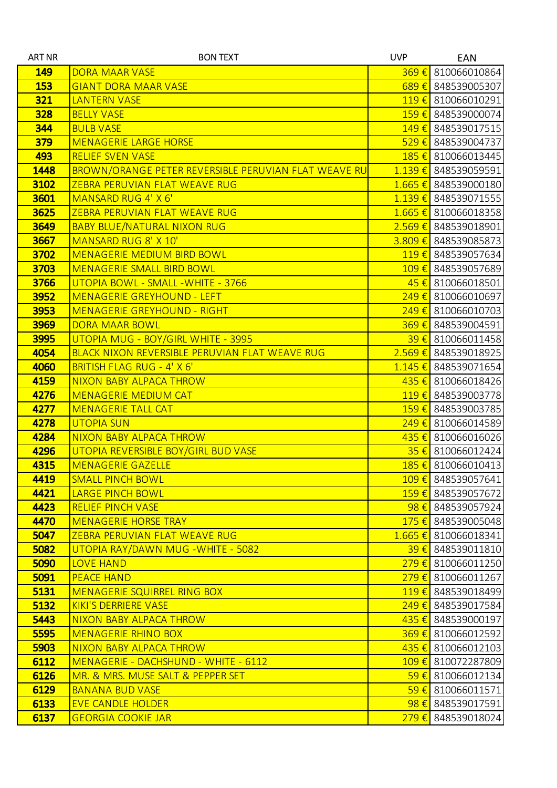| <b>ART NR</b> | <b>BON TEXT</b>                                       | <b>UVP</b>         | EAN                                     |
|---------------|-------------------------------------------------------|--------------------|-----------------------------------------|
| <b>149</b>    | <b>DORA MAAR VASE</b>                                 |                    | $369 \in$ 810066010864                  |
| <b>153</b>    | <b>GIANT DORA MAAR VASE</b>                           |                    | $689 \in$ 848539005307                  |
| 321           | <b>LANTERN VASE</b>                                   |                    | $119 \t\epsilon$ 810066010291           |
| <b>328</b>    | <b>BELLY VASE</b>                                     |                    | 159 € 848539000074                      |
| 344           | <b>BULB VASE</b>                                      |                    | 149 € 848539017515                      |
| 379           | <b>MENAGERIE LARGE HORSE</b>                          |                    | $529 \t\epsilon$ 848539004737           |
| 493           | <b>RELIEF SVEN VASE</b>                               |                    | 185 € 810066013445                      |
| 1448          | BROWN/ORANGE PETER REVERSIBLE PERUVIAN FLAT WEAVE RU  |                    | $1.139 \t\epsilon$ 848539059591         |
| 3102          | ZEBRA PERUVIAN FLAT WEAVE RUG                         |                    | $1.665 \in$ 848539000180                |
| 3601          | MANSARD RUG 4' X 6'                                   |                    | $1.139 \t\epsilon$ 848539071555         |
| 3625          | ZEBRA PERUVIAN FLAT WEAVE RUG                         |                    | $1.665 \in$ 810066018358                |
| 3649          | <b>BABY BLUE/NATURAL NIXON RUG</b>                    |                    | $2.569 \t\epsilon$ 848539018901         |
| 3667          | MANSARD RUG 8' X 10'                                  |                    | $3.809 \t\epsilon$ 848539085873         |
| 3702          | <b>MENAGERIE MEDIUM BIRD BOWL</b>                     | $119 \t\t\epsilon$ | 848539057634                            |
| 3703          | <b>MENAGERIE SMALL BIRD BOWL</b>                      |                    | 109 € 848539057689                      |
| 3766          | UTOPIA BOWL - SMALL - WHITE - 3766                    |                    | $45 \in$ 810066018501                   |
| 3952          | <b>MENAGERIE GREYHOUND - LEFT</b>                     |                    | $249 \in$ 810066010697                  |
| 3953          | <b>MENAGERIE GREYHOUND - RIGHT</b>                    |                    | $249 \text{€}$ 810066010703             |
| <b>3969</b>   | <b>DORA MAAR BOWL</b>                                 |                    | 369 € 848539004591                      |
| 3995          | UTOPIA MUG - BOY/GIRL WHITE - 3995                    |                    | 39 € 810066011458                       |
| 4054          | <b>BLACK NIXON REVERSIBLE PERUVIAN FLAT WEAVE RUG</b> |                    | $2.569 \in$ 848539018925                |
| 4060          | <b>BRITISH FLAG RUG - 4' X 6'</b>                     |                    | $1.145 \in$ 848539071654                |
| 4159          | <b>NIXON BABY ALPACA THROW</b>                        |                    | 435 € 810066018426                      |
| 4276          | <b>MENAGERIE MEDIUM CAT</b>                           |                    | 119€ 848539003778                       |
| 4277          | <b>MENAGERIE TALL CAT</b>                             |                    | 159 € 848539003785                      |
| 4278          | <b>UTOPIA SUN</b>                                     |                    | 249 € 810066014589                      |
| 4284          | <b>NIXON BABY ALPACA THROW</b>                        |                    | 435 € 810066016026                      |
| 4296          | UTOPIA REVERSIBLE BOY/GIRL BUD VASE                   |                    | $35 \in$ 810066012424                   |
| 4315          | <b>MENAGERIE GAZELLE</b>                              |                    | 185 € 810066010413                      |
| 4419          | <b>SMALL PINCH BOWL</b>                               |                    | 109 € 848539057641                      |
| 4421          | <b>LARGE PINCH BOWL</b>                               |                    | 159 € 848539057672                      |
| 4423          | <b>RELIEF PINCH VASE</b>                              |                    | $98 \in$ 848539057924                   |
| 4470          | <b>MENAGERIE HORSE TRAY</b>                           |                    | 175 € 848539005048                      |
| 5047<br>5082  | ZEBRA PERUVIAN FLAT WEAVE RUG                         |                    | $1.665 \in$ 810066018341                |
| 5090          | UTOPIA RAY/DAWN MUG - WHITE - 5082                    |                    | 39 € 848539011810<br>279 € 810066011250 |
| 5091          | <b>LOVE HAND</b><br><b>PEACE HAND</b>                 |                    | $279 \in$ 810066011267                  |
| 5131          | MENAGERIE SQUIRREL RING BOX                           |                    | 119€ 848539018499                       |
| 5132          | <b>KIKI'S DERRIERE VASE</b>                           |                    | 249 € 848539017584                      |
| 5443          | NIXON BABY ALPACA THROW                               |                    | 435 € 848539000197                      |
| 5595          | <b>MENAGERIE RHINO BOX</b>                            |                    | $369 \t\epsilon$ 810066012592           |
| 5903          | NIXON BABY ALPACA THROW                               |                    | $435 \in$ 810066012103                  |
| 6112          | MENAGERIE - DACHSHUND - WHITE - 6112                  |                    | 109 € 810072287809                      |
| 6126          | MR. & MRS. MUSE SALT & PEPPER SET                     |                    | 59 € 810066012134                       |
| 6129          | <b>BANANA BUD VASE</b>                                |                    | $59 \in$ 810066011571                   |
| 6133          | <b>EVE CANDLE HOLDER</b>                              |                    | $98 \in$ 848539017591                   |
| 6137          | <b>GEORGIA COOKIE JAR</b>                             |                    | 279 € 848539018024                      |
|               |                                                       |                    |                                         |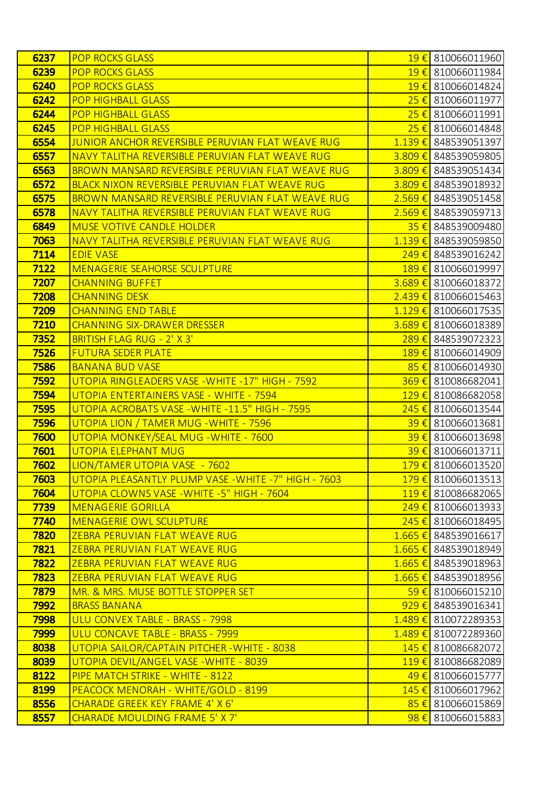| 6237        | <b>POP ROCKS GLASS</b>                                |                    | 19 € 810066011960               |
|-------------|-------------------------------------------------------|--------------------|---------------------------------|
| 6239        | <b>POP ROCKS GLASS</b>                                |                    | 19 € 810066011984               |
| 6240        | <b>POP ROCKS GLASS</b>                                | $19 \in$           | 810066014824                    |
| 6242        | <b>POP HIGHBALL GLASS</b>                             |                    | 25 € 810066011977               |
| 6244        | <b>POP HIGHBALL GLASS</b>                             | $25 \in$           | 810066011991                    |
| 6245        | <b>POP HIGHBALL GLASS</b>                             |                    | 25 € 810066014848               |
| 6554        | JUNIOR ANCHOR REVERSIBLE PERUVIAN FLAT WEAVE RUG      | $1.139 \t∈$        | 848539051397                    |
| 6557        | NAVY TALITHA REVERSIBLE PERUVIAN FLAT WEAVE RUG       |                    | 3.809 € 848539059805            |
| 6563        | BROWN MANSARD REVERSIBLE PERUVIAN FLAT WEAVE RUG      |                    | 3.809 € 848539051434            |
| 6572        | <b>BLACK NIXON REVERSIBLE PERUVIAN FLAT WEAVE RUG</b> |                    | 3.809 € 848539018932            |
| 6575        | BROWN MANSARD REVERSIBLE PERUVIAN FLAT WEAVE RUG      | $2.569 \notin$     | 848539051458                    |
| 6578        | NAVY TALITHA REVERSIBLE PERUVIAN FLAT WEAVE RUG       |                    | $2.569 \in$ 848539059713        |
| 6849        | <b>MUSE VOTIVE CANDLE HOLDER</b>                      | $35 \in$           | 848539009480                    |
| 7063        | NAVY TALITHA REVERSIBLE PERUVIAN FLAT WEAVE RUG       |                    | 1.139 € 848539059850            |
| 7114        | <b>EDIE VASE</b>                                      | $249 \in$          | 848539016242                    |
| 7122        | <b>MENAGERIE SEAHORSE SCULPTURE</b>                   |                    | 189 € 810066019997              |
| 7207        | <b>CHANNING BUFFET</b>                                |                    | $3.689 \t\epsilon$ 810066018372 |
| 7208        | <b>CHANNING DESK</b>                                  |                    | $2.439 \t\epsilon$ 810066015463 |
| 7209        | <b>CHANNING END TABLE</b>                             |                    | $1.129 \t\epsilon$ 810066017535 |
| 7210        | <b>CHANNING SIX-DRAWER DRESSER</b>                    |                    | 3.689 € 810066018389            |
| 7352        | <b>BRITISH FLAG RUG - 2' X 3'</b>                     | 289€               | 848539072323                    |
| 7526        | <b>FUTURA SEDER PLATE</b>                             |                    | 189 € 810066014909              |
| 7586        | <b>BANANA BUD VASE</b>                                | $85 \in$           | 810066014930                    |
| 7592        | UTOPIA RINGLEADERS VASE - WHITE -17" HIGH - 7592      |                    | 369 € 810086682041              |
| 7594        | UTOPIA ENTERTAINERS VASE - WHITE - 7594               | $129 \t\t\epsilon$ | 810086682058                    |
| 7595        | UTOPIA ACROBATS VASE - WHITE - 11.5" HIGH - 7595      |                    | 245 € 810066013544              |
| 7596        | UTOPIA LION / TAMER MUG - WHITE - 7596                |                    | 39 € 810066013681               |
| 7600        | UTOPIA MONKEY/SEAL MUG - WHITE - 7600                 |                    | 39 € 810066013698               |
| 7601        | <b>UTOPIA ELEPHANT MUG</b>                            |                    | $39 \t\epsilon$ 810066013711    |
| 7602        | LION/TAMER UTOPIA VASE - 7602                         |                    | 179 € 810066013520              |
| 7603        | UTOPIA PLEASANTLY PLUMP VASE - WHITE - 7" HIGH - 7603 |                    | 179 € 810066013513              |
| 7604        | UTOPIA CLOWNS VASE - WHITE - 5" HIGH - 7604           |                    | 119€ 810086682065               |
| 7739        | <b>MENAGERIE GORILLA</b>                              |                    | $249 \t\epsilon$ 810066013933   |
| 7740        | <b>MENAGERIE OWL SCULPTURE</b>                        |                    | 245 € 810066018495              |
| <b>7820</b> | ZEBRA PERUVIAN FLAT WEAVE RUG                         |                    | $1.665 \in$ 848539016617        |
| 7821        | ZEBRA PERUVIAN FLAT WEAVE RUG                         |                    | 1.665 € 848539018949            |
| 7822        | ZEBRA PERUVIAN FLAT WEAVE RUG                         |                    | 1.665 € 848539018963            |
| 7823        | ZEBRA PERUVIAN FLAT WEAVE RUG                         |                    | 1.665 € 848539018956            |
| <b>7879</b> | MR. & MRS. MUSE BOTTLE STOPPER SET                    |                    | $59 \in$ 810066015210           |
| 7992        | <b>BRASS BANANA</b>                                   |                    | $929 \t\epsilon$ 848539016341   |
| 7998        | ULU CONVEX TABLE - BRASS - 7998                       |                    | 1.489 € 810072289353            |
| 7999        | ULU CONCAVE TABLE - BRASS - 7999                      |                    | 1.489 € 810072289360            |
| 8038        | UTOPIA SAILOR/CAPTAIN PITCHER-WHITE - 8038            |                    | 145 € 810086682072              |
| 8039        | UTOPIA DEVIL/ANGEL VASE - WHITE - 8039                |                    | 119€ 810086682089               |
| 8122        | PIPE MATCH STRIKE - WHITE - 8122                      |                    | 49 € 810066015777               |
| 8199        | PEACOCK MENORAH - WHITE/GOLD - 8199                   |                    | 145 € 810066017962              |
| 8556        | CHARADE GREEK KEY FRAME 4' X 6'                       |                    | $85 \in$ 810066015869           |
| 8557        | <b>CHARADE MOULDING FRAME 5' X 7'</b>                 |                    | $98 \in$ 810066015883           |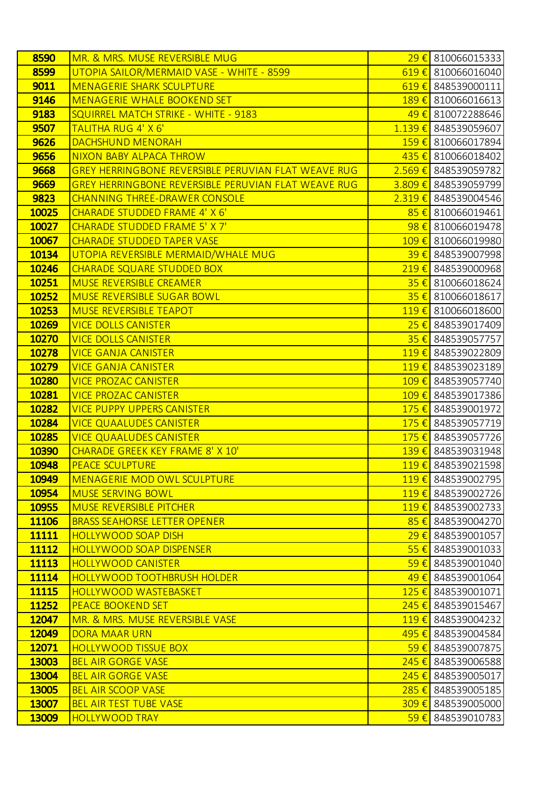| 8590         | MR. & MRS. MUSE REVERSIBLE MUG                             |                    | 29 € 810066015333               |
|--------------|------------------------------------------------------------|--------------------|---------------------------------|
| 8599         | UTOPIA SAILOR/MERMAID VASE - WHITE - 8599                  |                    | 619 € 810066016040              |
| 9011         | <b>MENAGERIE SHARK SCULPTURE</b>                           | $619 \in$          | 848539000111                    |
| 9146         | <b>MENAGERIE WHALE BOOKEND SET</b>                         |                    | 189 € 810066016613              |
| 9183         | <b>SQUIRREL MATCH STRIKE - WHITE - 9183</b>                | 49€                | 810072288646                    |
| 9507         | TALITHA RUG 4' X 6'                                        |                    | 1.139 € 848539059607            |
| 9626         | DACHSHUND MENORAH                                          |                    | 159 € 810066017894              |
| 9656         | <b>NIXON BABY ALPACA THROW</b>                             |                    | 435 € 810066018402              |
| 9668         | <b>GREY HERRINGBONE REVERSIBLE PERUVIAN FLAT WEAVE RUG</b> |                    | 2.569 € 848539059782            |
| 9669         | <b>GREY HERRINGBONE REVERSIBLE PERUVIAN FLAT WEAVE RUG</b> |                    | 3.809 € 848539059799            |
| 9823         | <b>CHANNING THREE-DRAWER CONSOLE</b>                       | 2.319€             | 848539004546                    |
| 10025        | <b>CHARADE STUDDED FRAME 4' X 6'</b>                       |                    | $85 \in$ 810066019461           |
| 10027        | CHARADE STUDDED FRAME 5' X 7'                              | $98 \in$           | 810066019478                    |
| 10067        | <b>CHARADE STUDDED TAPER VASE</b>                          |                    | 109 € 810066019980              |
| 10134        | UTOPIA REVERSIBLE MERMAID/WHALE MUG                        | $39 \in$           | 848539007998                    |
| 10246        | <b>CHARADE SQUARE STUDDED BOX</b>                          |                    | 219 € 848539000968              |
| 10251        | <b>MUSE REVERSIBLE CREAMER</b>                             |                    | 35 € 810066018624               |
| 10252        | MUSE REVERSIBLE SUGAR BOWL                                 |                    | $35 \in$ 810066018617           |
| 10253        | <b>MUSE REVERSIBLE TEAPOT</b>                              | $119 \in$          | 810066018600                    |
| 10269        | <b>VICE DOLLS CANISTER</b>                                 |                    | 25 € 848539017409               |
| <b>10270</b> | <b>VICE DOLLS CANISTER</b>                                 | $35 \in$           | 848539057757                    |
| 10278        | <b>VICE GANJA CANISTER</b>                                 |                    | 119€ 848539022809               |
| 10279        | <b>VICE GANJA CANISTER</b>                                 | 119€               | 848539023189                    |
| 10280        | <b>VICE PROZAC CANISTER</b>                                |                    | 109 € 848539057740              |
| 10281        | <b>VICE PROZAC CANISTER</b>                                | $109 \t\t\epsilon$ | 848539017386                    |
| 10282        | <b>VICE PUPPY UPPERS CANISTER</b>                          |                    | 175 € 848539001972              |
| 10284        | <b>VICE QUAALUDES CANISTER</b>                             | $175 \in$          | 848539057719                    |
| 10285        | <b>VICE QUAALUDES CANISTER</b>                             |                    | <mark>175 €</mark> 848539057726 |
| <b>10390</b> | <b>CHARADE GREEK KEY FRAME 8' X 10'</b>                    |                    | 139 € 848539031948              |
| 10948        | <b>PEACE SCULPTURE</b>                                     |                    | 119€ 848539021598               |
| 10949        | <b>MENAGERIE MOD OWL SCULPTURE</b>                         |                    | 119 € 848539002795              |
| 10954        | <b>MUSE SERVING BOWL</b>                                   |                    | 119€ 848539002726               |
| 10955        | <b>MUSE REVERSIBLE PITCHER</b>                             |                    | 119€ 848539002733               |
| 11106        | <b>BRASS SEAHORSE LETTER OPENER</b>                        |                    | 85 € 848539004270               |
| 11111        | <b>HOLLYWOOD SOAP DISH</b>                                 |                    | $29 \in$ 848539001057           |
| 11112        | <b>HOLLYWOOD SOAP DISPENSER</b>                            |                    | $55 \in$ 848539001033           |
| 11113        | <b>HOLLYWOOD CANISTER</b>                                  | 59€                | 848539001040                    |
| 11114        | <b>HOLLYWOOD TOOTHBRUSH HOLDER</b>                         |                    | 49 € 848539001064               |
| 11115        | <b>HOLLYWOOD WASTEBASKET</b>                               |                    | 125 € 848539001071              |
| 11252        | <b>PEACE BOOKEND SET</b>                                   |                    | $245 \in$ 848539015467          |
| 12047        | MR. & MRS. MUSE REVERSIBLE VASE                            |                    | 119€ 848539004232               |
| 12049        | <b>DORA MAAR URN</b>                                       |                    | 495 € 848539004584              |
| <b>12071</b> | <b>HOLLYWOOD TISSUE BOX</b>                                |                    | 59 € 848539007875               |
| 13003        | <b>BEL AIR GORGE VASE</b>                                  |                    | 245 € 848539006588              |
| 13004        | <b>BEL AIR GORGE VASE</b>                                  | 245€               | 848539005017                    |
| 13005        | <b>BEL AIR SCOOP VASE</b>                                  |                    | 285 € 848539005185              |
| <b>13007</b> | <b>BEL AIR TEST TUBE VASE</b>                              | 309€               | 848539005000                    |
| <b>13009</b> | <b>HOLLYWOOD TRAY</b>                                      |                    | 59 € 848539010783               |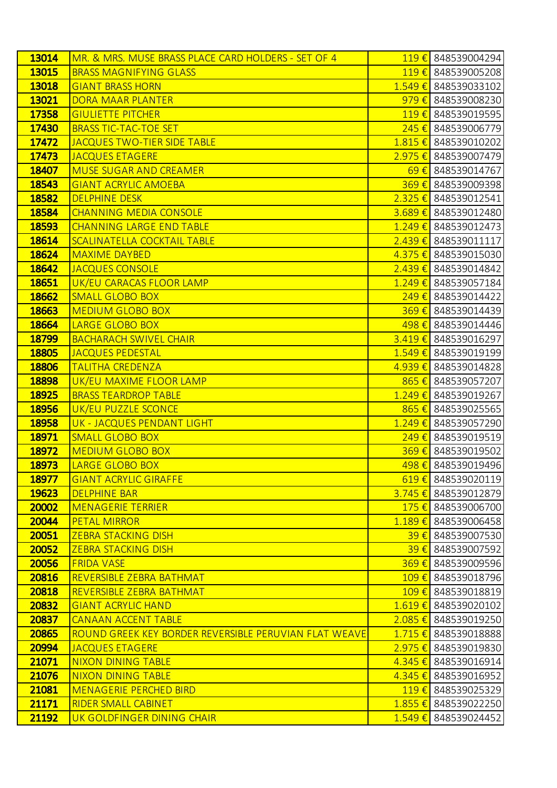| 13014        | MR. & MRS. MUSE BRASS PLACE CARD HOLDERS - SET OF 4   |                    | 119€ 848539004294               |
|--------------|-------------------------------------------------------|--------------------|---------------------------------|
| <b>13015</b> | <b>BRASS MAGNIFYING GLASS</b>                         |                    | 119€ 848539005208               |
| 13018        | <b>GIANT BRASS HORN</b>                               | $1.549 \t∈$        | 848539033102                    |
| 13021        | <b>DORA MAAR PLANTER</b>                              |                    | 979 € 848539008230              |
| 17358        | <b>GIULIETTE PITCHER</b>                              |                    | 119 € 848539019595              |
| 17430        | <b>BRASS TIC-TAC-TOE SET</b>                          |                    | 245 € 848539006779              |
| 17472        | <b>JACQUES TWO-TIER SIDE TABLE</b>                    | 1.815€             | 848539010202                    |
| 17473        | <b>JACQUES ETAGERE</b>                                |                    | 2.975 € 848539007479            |
| 18407        | <b>MUSE SUGAR AND CREAMER</b>                         |                    | 69€ 848539014767                |
| 18543        | <b>GIANT ACRYLIC AMOEBA</b>                           |                    | 369 € 848539009398              |
| 18582        | <b>DELPHINE DESK</b>                                  | $2.325 \t∈$        | 848539012541                    |
| 18584        | <b>CHANNING MEDIA CONSOLE</b>                         |                    | 3.689 € 848539012480            |
| <b>18593</b> | <b>CHANNING LARGE END TABLE</b>                       | $1.249 \t∈$        | 848539012473                    |
| 18614        | <b>SCALINATELLA COCKTAIL TABLE</b>                    |                    | $2.439 \in$ 848539011117        |
| 18624        | <b>MAXIME DAYBED</b>                                  | $4.375 \notin$     | 848539015030                    |
| 18642        | JACQUES CONSOLE                                       |                    | 2.439 € 848539014842            |
| 18651        | <b>UK/EU CARACAS FLOOR LAMP</b>                       | $1.249 \t∈$        | 848539057184                    |
| 18662        | <b>SMALL GLOBO BOX</b>                                |                    | 249 € 848539014422              |
| <b>18663</b> | <b>MEDIUM GLOBO BOX</b>                               | $369 \text{ } \in$ | 848539014439                    |
| 18664        | LARGE GLOBO BOX                                       |                    | 498 € 848539014446              |
| <b>18799</b> | <b>BACHARACH SWIVEL CHAIR</b>                         |                    | $3.419 \t\epsilon$ 848539016297 |
| 18805        | <b>JACQUES PEDESTAL</b>                               |                    | 1.549 € 848539019199            |
| 18806        | <b>TALITHA CREDENZA</b>                               | $4.939 \t∈$        | 848539014828                    |
| 18898        | UK/EU MAXIME FLOOR LAMP                               |                    | 865 € 848539057207              |
| <b>18925</b> | <b>BRASS TEARDROP TABLE</b>                           | $1.249 \t∈$        | 848539019267                    |
| <b>18956</b> | UK/EU PUZZLE SCONCE                                   |                    | 865 € 848539025565              |
| <b>18958</b> | UK - JACQUES PENDANT LIGHT                            | $1.249 \t∈$        | 848539057290                    |
| 18971        | <b>SMALL GLOBO BOX</b>                                |                    | 249 € 848539019519              |
| <b>18972</b> | <b>MEDIUM GLOBO BOX</b>                               |                    | 369 € 848539019502              |
| 18973        | LARGE GLOBO BOX                                       |                    | 498 € 848539019496              |
| <b>18977</b> | <b>GIANT ACRYLIC GIRAFFE</b>                          |                    | $619 \in$ 848539020119          |
| <b>19623</b> | <b>DELPHINE BAR</b>                                   |                    | 3.745 € 848539012879            |
| 20002        | <b>MENAGERIE TERRIER</b>                              |                    | 175 € 848539006700              |
| 20044        | <b>PETAL MIRROR</b>                                   |                    | 1.189 € 848539006458            |
| 20051        | <b>ZEBRA STACKING DISH</b>                            |                    | $\frac{39 \in}{848539007530}$   |
| 20052        | <b>ZEBRA STACKING DISH</b>                            |                    | 39 € 848539007592               |
| 20056        | <b>FRIDA VASE</b>                                     | 369€               | 848539009596                    |
| 20816        | <b>REVERSIBLE ZEBRA BATHMAT</b>                       |                    | 109 € 848539018796              |
| 20818        | REVERSIBLE ZEBRA BATHMAT                              | $109 \in$          | 848539018819                    |
| 20832        | <b>GIANT ACRYLIC HAND</b>                             |                    | $1.619 \in$ 848539020102        |
| 20837        | <b>CANAAN ACCENT TABLE</b>                            | 2.085€             | 848539019250                    |
| 20865        | ROUND GREEK KEY BORDER REVERSIBLE PERUVIAN FLAT WEAVE |                    | 1.715 € 848539018888            |
| 20994        | <b>JACQUES ETAGERE</b>                                | $2.975 \in$        | 848539019830                    |
| 21071        | <b>NIXON DINING TABLE</b>                             |                    | 4.345 € 848539016914            |
| 21076        | <b>NIXON DINING TABLE</b>                             | 4.345€             | 848539016952                    |
| 21081        | <b>MENAGERIE PERCHED BIRD</b>                         | $119 \t\t\epsilon$ | 848539025329                    |
| 21171        | <b>RIDER SMALL CABINET</b>                            | $1.855 \in$        | 848539022250                    |
| 21192        | UK GOLDFINGER DINING CHAIR                            | 1.549€             | 848539024452                    |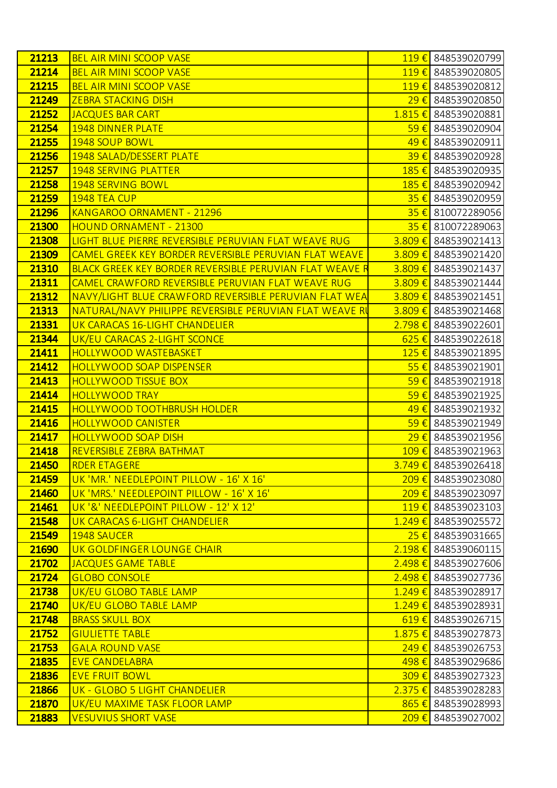| 21213          | <b>BEL AIR MINI SCOOP VASE</b>                                         |             | 119 € 848539020799                       |
|----------------|------------------------------------------------------------------------|-------------|------------------------------------------|
| 21214          | <b>BEL AIR MINI SCOOP VASE</b>                                         |             | 119€ 848539020805                        |
| 21215          | <b>BEL AIR MINI SCOOP VASE</b>                                         |             | 119€ 848539020812                        |
| 21249          | <b>ZEBRA STACKING DISH</b>                                             |             | 29 € 848539020850                        |
| 21252          | <b>JACQUES BAR CART</b>                                                |             | $1.815 \in$ 848539020881                 |
| 21254          | <b>1948 DINNER PLATE</b>                                               |             | $\frac{59 \in 848539020904}{$            |
| 21255          | 1948 SOUP BOWL                                                         | 49€         | 848539020911                             |
| 21256          | 1948 SALAD/DESSERT PLATE                                               | 39€         | 848539020928                             |
| 21257          | <b>1948 SERVING PLATTER</b>                                            | 185€        | 848539020935                             |
| 21258          | 1948 SERVING BOWL                                                      |             | 185 € 848539020942                       |
| 21259          | 1948 TEA CUP                                                           | $35 \in$    | 848539020959                             |
| 21296          | <b>KANGAROO ORNAMENT - 21296</b>                                       |             | 35 € 810072289056                        |
| 21300          | HOUND ORNAMENT - 21300                                                 |             | 35 € 810072289063                        |
| 21308          | LIGHT BLUE PIERRE REVERSIBLE PERUVIAN FLAT WEAVE RUG                   |             | $3.809 \t\epsilon$ 848539021413          |
| 21309          | CAMEL GREEK KEY BORDER REVERSIBLE PERUVIAN FLAT WEAVE                  | $3.809 \t∈$ | 848539021420                             |
| 21310          | <b>BLACK GREEK KEY BORDER REVERSIBLE PERUVIAN FLAT WEAVE R</b>         |             | 3.809 € 848539021437                     |
| 21311          | CAMEL CRAWFORD REVERSIBLE PERUVIAN FLAT WEAVE RUG                      |             | 3.809 € 848539021444                     |
| 21312          | NAVY/LIGHT BLUE CRAWFORD REVERSIBLE PERUVIAN FLAT WEA                  |             | $3.809 \t\epsilon$ 848539021451          |
| 21313          | NATURAL/NAVY PHILIPPE REVERSIBLE PERUVIAN FLAT WEAVE RU                | $3.809 \t€$ | 848539021468                             |
| 21331          | UK CARACAS 16-LIGHT CHANDELIER                                         |             | 2.798 € 848539022601                     |
| 21344          | UK/EU CARACAS 2-LIGHT SCONCE                                           |             | $625 \in$ 848539022618                   |
| 21411          | <b>HOLLYWOOD WASTEBASKET</b>                                           |             | 125 € 848539021895                       |
| 21412          | <b>HOLLYWOOD SOAP DISPENSER</b>                                        |             | $55 \in$ 848539021901                    |
| 21413          | <b>HOLLYWOOD TISSUE BOX</b>                                            | 59€         | 848539021918                             |
| 21414          | <b>HOLLYWOOD TRAY</b>                                                  | 59€         | 848539021925                             |
| 21415          | <b>HOLLYWOOD TOOTHBRUSH HOLDER</b>                                     | 49€         | 848539021932                             |
| 21416          | <b>HOLLYWOOD CANISTER</b>                                              | 59€         | 848539021949                             |
| 21417          | <b>HOLLYWOOD SOAP DISH</b>                                             | 29€         | 848539021956                             |
| 21418          | REVERSIBLE ZEBRA BATHMAT                                               |             | 109 € 848539021963                       |
| 21450          | <b>RDER ETAGERE</b>                                                    |             | 3.749 € 848539026418                     |
| 21459<br>21460 | UK 'MR.' NEEDLEPOINT PILLOW - 16' X 16'                                |             | 209 € 848539023080                       |
| 21461          | UK 'MRS.' NEEDLEPOINT PILLOW - 16' X 16'                               |             | 209 € 848539023097<br>119 € 848539023103 |
| 21548          | UK '&' NEEDLEPOINT PILLOW - 12' X 12'<br>UK CARACAS 6-LIGHT CHANDELIER |             | $1.249 \in$ 848539025572                 |
| 21549          | 1948 SAUCER                                                            |             | 25 € 848539031665                        |
| 21690          | UK GOLDFINGER LOUNGE CHAIR                                             |             | $2.198 \t\epsilon$ 848539060115          |
| 21702          | <b>JACQUES GAME TABLE</b>                                              |             | 2.498 € 848539027606                     |
| 21724          | <b>GLOBO CONSOLE</b>                                                   |             | 2.498 € 848539027736                     |
| 21738          | UK/EU GLOBO TABLE LAMP                                                 |             | 1.249 € 848539028917                     |
| 21740          | <b>UK/EU GLOBO TABLE LAMP</b>                                          |             | 1.249 € 848539028931                     |
| 21748          | <b>BRASS SKULL BOX</b>                                                 |             | 619 € 848539026715                       |
| 21752          | <b>GIULIETTE TABLE</b>                                                 |             | 1.875 € 848539027873                     |
| 21753          | <b>GALA ROUND VASE</b>                                                 |             | 249 € 848539026753                       |
| 21835          | <b>EVE CANDELABRA</b>                                                  |             | 498 € 848539029686                       |
| 21836          | <b>EVE FRUIT BOWL</b>                                                  |             | 309 € 848539027323                       |
| 21866          | UK - GLOBO 5 LIGHT CHANDELIER                                          |             | 2.375 € 848539028283                     |
| 21870          | UK/EU MAXIME TASK FLOOR LAMP                                           |             | 865 € 848539028993                       |
| 21883          | <b>VESUVIUS SHORT VASE</b>                                             |             | 209 € 848539027002                       |
|                |                                                                        |             |                                          |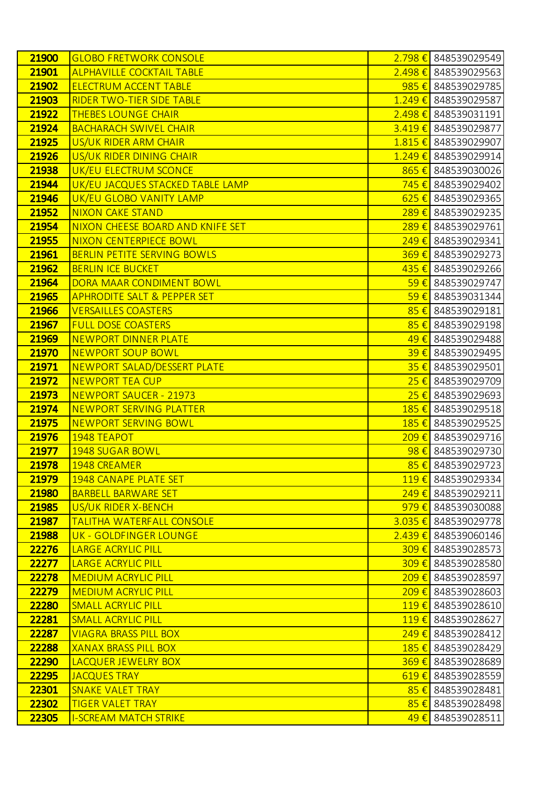| 21900          | <b>GLOBO FRETWORK CONSOLE</b>                       |                      | 2.798 € 848539029549                       |
|----------------|-----------------------------------------------------|----------------------|--------------------------------------------|
| 21901          | <b>ALPHAVILLE COCKTAIL TABLE</b>                    |                      | $2.498 \t\epsilon$ 848539029563            |
| 21902          | <b>ELECTRUM ACCENT TABLE</b>                        | 985€                 | 848539029785                               |
| 21903          | <b>RIDER TWO-TIER SIDE TABLE</b>                    |                      | 1.249 € 848539029587                       |
| 21922          | <b>THEBES LOUNGE CHAIR</b>                          |                      | $2.498 \t\epsilon$ 848539031191            |
| 21924          | <b>BACHARACH SWIVEL CHAIR</b>                       |                      | 3.419 € 848539029877                       |
| 21925          | US/UK RIDER ARM CHAIR                               | $1.815 \t\t\epsilon$ | 848539029907                               |
| 21926          | US/UK RIDER DINING CHAIR                            |                      | 1.249 € 848539029914                       |
| 21938          | UK/EU ELECTRUM SCONCE                               | 865 $\epsilon$       | 848539030026                               |
| 21944          | UK/EU JACQUES STACKED TABLE LAMP                    |                      | 745 € 848539029402                         |
| 21946          | UK/EU GLOBO VANITY LAMP                             | $625 \in$            | 848539029365                               |
| 21952          | <b>NIXON CAKE STAND</b>                             | 289€                 | 848539029235                               |
| 21954          | NIXON CHEESE BOARD AND KNIFE SET                    | 289€                 | 848539029761                               |
| 21955          | NIXON CENTERPIECE BOWL                              |                      | $249 \in$ 848539029341                     |
| 21961          | BERLIN PETITE SERVING BOWLS                         | $369 \in$            | 848539029273                               |
| 21962          | <b>BERLIN ICE BUCKET</b>                            |                      | 435 € 848539029266                         |
| 21964          | DORA MAAR CONDIMENT BOWL                            | $59 \in$             | 848539029747                               |
| 21965          | <b>APHRODITE SALT &amp; PEPPER SET</b>              |                      | $\overline{59}$ € 848539031344             |
| 21966          | <b>VERSAILLES COASTERS</b>                          | 85€                  | 848539029181                               |
| 21967          | <b>FULL DOSE COASTERS</b>                           | 85€                  | 848539029198                               |
| 21969          | <b>NEWPORT DINNER PLATE</b>                         | 49€                  | 848539029488                               |
| 21970          | NEWPORT SOUP BOWL                                   | 39€                  | 848539029495                               |
| 21971          | NEWPORT SALAD/DESSERT PLATE                         | 35€                  | 848539029501                               |
| 21972          | <b>NEWPORT TEA CUP</b>                              | $25 \in$             | 848539029709                               |
| 21973          | <b>NEWPORT SAUCER - 21973</b>                       | $25 \in$             | 848539029693                               |
| 21974          | <b>NEWPORT SERVING PLATTER</b>                      | 185 €                | 848539029518                               |
| 21975          | <b>NEWPORT SERVING BOWL</b>                         | 185€                 | 848539029525                               |
| 21976          | 1948 TEAPOT                                         |                      | 209 € 848539029716                         |
| 21977          | <b>1948 SUGAR BOWL</b>                              | 98€                  | 848539029730                               |
| 21978          | <b>1948 CREAMER</b>                                 | $85 \in$             | 848539029723                               |
| 21979          | <b>1948 CANAPE PLATE SET</b>                        |                      | 119€ 848539029334                          |
| 21980          | <b>BARBELL BARWARE SET</b>                          |                      | 249 € 848539029211                         |
| 21985<br>21987 | US/UK RIDER X-BENCH                                 |                      | 979 € 848539030088<br>3.035 € 848539029778 |
| 21988          | <b>TALITHA WATERFALL CONSOLE</b>                    |                      | $2.439 \t\epsilon$ 848539060146            |
| 22276          | UK - GOLDFINGER LOUNGE<br><b>LARGE ACRYLIC PILL</b> |                      | 309 € 848539028573                         |
| 22277          | <b>LARGE ACRYLIC PILL</b>                           | 309€                 | 848539028580                               |
| 22278          | <b>MEDIUM ACRYLIC PILL</b>                          |                      | 209 € 848539028597                         |
| 22279          | <b>MEDIUM ACRYLIC PILL</b>                          |                      | 209€ 848539028603                          |
| 22280          | <b>SMALL ACRYLIC PILL</b>                           |                      | 119 € 848539028610                         |
| 22281          | <b>SMALL ACRYLIC PILL</b>                           | 119€                 | 848539028627                               |
| 22287          | <b>VIAGRA BRASS PILL BOX</b>                        |                      | $249 \in$ 848539028412                     |
| 22288          | <b>XANAX BRASS PILL BOX</b>                         |                      | 185 € 848539028429                         |
| 22290          | LACQUER JEWELRY BOX                                 |                      | 369 € 848539028689                         |
| 22295          | <b>JACQUES TRAY</b>                                 | $619 \t\t\epsilon$   | 848539028559                               |
| 22301          | <b>SNAKE VALET TRAY</b>                             | 85 $\epsilon$        | 848539028481                               |
| 22302          | <b>TIGER VALET TRAY</b>                             | 85€                  | 848539028498                               |
| 22305          | <b>I-SCREAM MATCH STRIKE</b>                        |                      | 49 € 848539028511                          |
|                |                                                     |                      |                                            |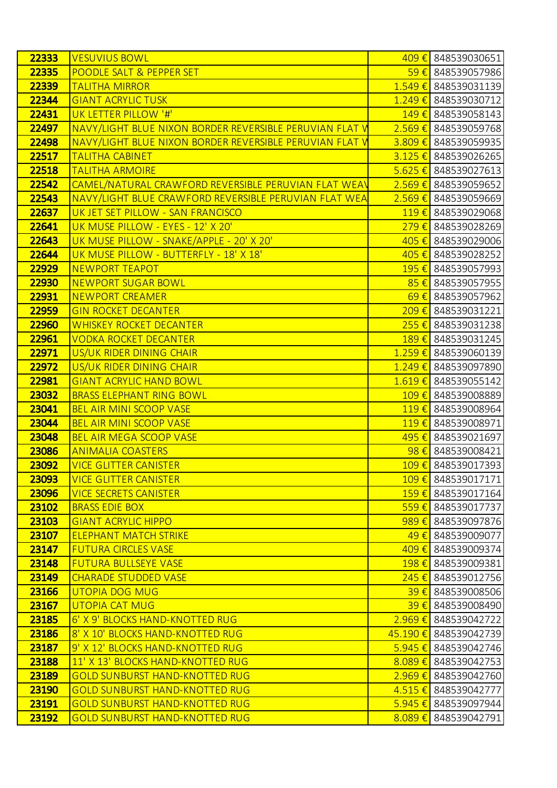| 22333 | <b>VESUVIUS BOWL</b>                                    |                    | 409 € 848539030651              |
|-------|---------------------------------------------------------|--------------------|---------------------------------|
| 22335 | POODLE SALT & PEPPER SET                                |                    | 59€ 848539057986                |
| 22339 | <b>TALITHA MIRROR</b>                                   | $1.549 \in$        | 848539031139                    |
| 22344 | <b>GIANT ACRYLIC TUSK</b>                               |                    | 1.249 € 848539030712            |
| 22431 | UK LETTER PILLOW '#'                                    | $149 \t\epsilon$   | 848539058143                    |
| 22497 | NAVY/LIGHT BLUE NIXON BORDER REVERSIBLE PERUVIAN FLAT V |                    | 2.569 € 848539059768            |
| 22498 | NAVY/LIGHT BLUE NIXON BORDER REVERSIBLE PERUVIAN FLAT V | $3.809 \notin$     | 848539059935                    |
| 22517 | <b>TALITHA CABINET</b>                                  |                    | $3.125 \in$ 848539026265        |
| 22518 | <b>TALITHA ARMOIRE</b>                                  |                    | $5.625 \in$ 848539027613        |
| 22542 | CAMEL/NATURAL CRAWFORD REVERSIBLE PERUVIAN FLAT WEAV    |                    | $2.569 \in$ 848539059652        |
| 22543 | NAVY/LIGHT BLUE CRAWFORD REVERSIBLE PERUVIAN FLAT WEA   | $2.569 \notin$     | 848539059669                    |
| 22637 | UK JET SET PILLOW - SAN FRANCISCO                       |                    | 119€ 848539029068               |
| 22641 | UK MUSE PILLOW - EYES - 12' X 20'                       |                    | 279 € 848539028269              |
| 22643 | UK MUSE PILLOW - SNAKE/APPLE - 20' X 20'                |                    | 405 € 848539029006              |
| 22644 | UK MUSE PILLOW - BUTTERFLY - 18' X 18'                  | 405€               | 848539028252                    |
| 22929 | <b>NEWPORT TEAPOT</b>                                   |                    | 195 € 848539057993              |
| 22930 | <b>NEWPORT SUGAR BOWL</b>                               | 85€                | 848539057955                    |
| 22931 | <b>NEWPORT CREAMER</b>                                  | $69 \in$           | 848539057962                    |
| 22959 | <b>GIN ROCKET DECANTER</b>                              | 209€               | 848539031221                    |
| 22960 | <b>WHISKEY ROCKET DECANTER</b>                          |                    | 255 € 848539031238              |
| 22961 | <b>VODKA ROCKET DECANTER</b>                            | $189 \t\t\epsilon$ | 848539031245                    |
| 22971 | US/UK RIDER DINING CHAIR                                |                    | 1.259 € 848539060139            |
| 22972 | US/UK RIDER DINING CHAIR                                | $1.249 \t∈$        | 848539097890                    |
| 22981 | <b>GIANT ACRYLIC HAND BOWL</b>                          |                    | $1.619 \in$ 848539055142        |
| 23032 | <b>BRASS ELEPHANT RING BOWL</b>                         | $109 \text{ } \in$ | 848539008889                    |
| 23041 | <b>BEL AIR MINI SCOOP VASE</b>                          |                    | 119€ 848539008964               |
| 23044 | <b>BEL AIR MINI SCOOP VASE</b>                          | $119 \t\t\epsilon$ | 848539008971                    |
| 23048 | <b>BEL AIR MEGA SCOOP VASE</b>                          |                    | 495 € 848539021697              |
| 23086 | <b>ANIMALIA COASTERS</b>                                |                    | $98 \in$ 848539008421           |
| 23092 | <b>VICE GLITTER CANISTER</b>                            |                    | 109 € 848539017393              |
| 23093 | <b>VICE GLITTER CANISTER</b>                            |                    | 109 € 848539017171              |
| 23096 | <b>VICE SECRETS CANISTER</b>                            |                    | 159 € 848539017164              |
| 23102 | <b>BRASS EDIE BOX</b>                                   |                    | 559€ 848539017737               |
| 23103 | <b>GIANT ACRYLIC HIPPO</b>                              |                    | 989€ 848539097876               |
| 23107 | <b>ELEPHANT MATCH STRIKE</b>                            |                    | 49 € 848539009077               |
| 23147 | <b>FUTURA CIRCLES VASE</b>                              |                    | 409 € 848539009374              |
| 23148 | <b>FUTURA BULLSEYE VASE</b>                             |                    | 198€ 848539009381               |
| 23149 | <b>CHARADE STUDDED VASE</b>                             |                    | 245 € 848539012756              |
| 23166 | <b>UTOPIA DOG MUG</b>                                   |                    | $\frac{39}{5}$ 848539008506     |
| 23167 | <b>UTOPIA CAT MUG</b>                                   |                    | 39 € 848539008490               |
| 23185 | 6' X 9' BLOCKS HAND-KNOTTED RUG                         |                    | $2.969 \t\epsilon$ 848539042722 |
| 23186 | 8' X 10' BLOCKS HAND-KNOTTED RUG                        |                    | 45.190 € 848539042739           |
| 23187 | 9' X 12' BLOCKS HAND-KNOTTED RUG                        |                    | 5.945 € 848539042746            |
| 23188 | 11' X 13' BLOCKS HAND-KNOTTED RUG                       |                    | 8.089 € 848539042753            |
| 23189 | <b>GOLD SUNBURST HAND-KNOTTED RUG</b>                   | $2.969 \t∈$        | 848539042760                    |
| 23190 | <b>GOLD SUNBURST HAND-KNOTTED RUG</b>                   |                    | $4.515 \in$ 848539042777        |
| 23191 | <b>GOLD SUNBURST HAND-KNOTTED RUG</b>                   | $5.945 \in$        | 848539097944                    |
| 23192 | <b>GOLD SUNBURST HAND-KNOTTED RUG</b>                   |                    | 8.089 € 848539042791            |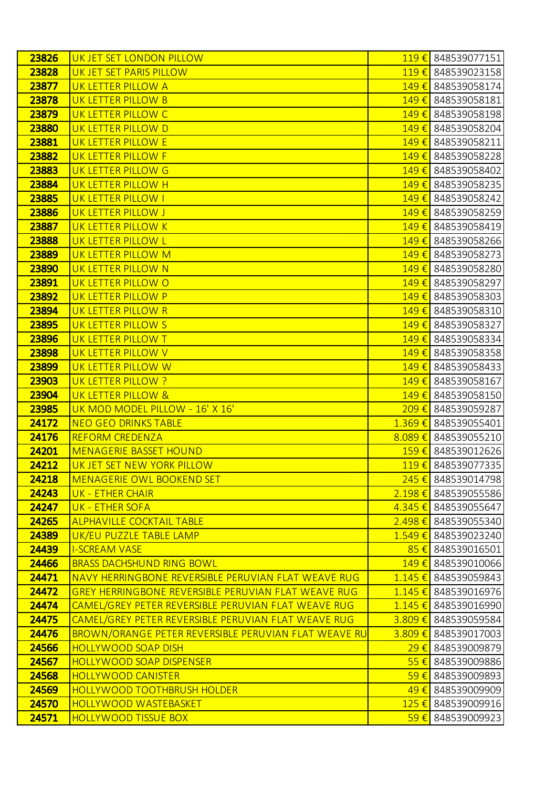| 23826          | UK JET SET LONDON PILLOW                                   | $119 \t\t\epsilon$ | 848539077151                                  |
|----------------|------------------------------------------------------------|--------------------|-----------------------------------------------|
| 23828          | UK JET SET PARIS PILLOW                                    |                    | 119€ 848539023158                             |
| 23877          | UK LETTER PILLOW A                                         | 149€               | 848539058174                                  |
| 23878          | UK LETTER PILLOW B                                         | 149€               | 848539058181                                  |
| 23879          | UK LETTER PILLOW C                                         | 149€               | 848539058198                                  |
| 23880          | UK LETTER PILLOW D                                         | 149€               | 848539058204                                  |
| 23881          | UK LETTER PILLOW E                                         | 149€               | 848539058211                                  |
| 23882          | UK LETTER PILLOW F                                         | 149€               | 848539058228                                  |
| 23883          | UK LETTER PILLOW G                                         | 149€               | 848539058402                                  |
| 23884          | UK LETTER PILLOW H                                         | 149€               | 848539058235                                  |
| 23885          | UK LETTER PILLOW I                                         | 149€               | 848539058242                                  |
| 23886          | UK LETTER PILLOW J                                         | 149€               | 848539058259                                  |
| 23887          | UK LETTER PILLOW K                                         | 149€               | 848539058419                                  |
| 23888          | UK LETTER PILLOW L                                         | 149€               | 848539058266                                  |
| 23889          | UK LETTER PILLOW M                                         | 149€               | 848539058273                                  |
| 23890          | UK LETTER PILLOW N                                         | 149€               | 848539058280                                  |
| 23891          | UK LETTER PILLOW O                                         | 149€               | 848539058297                                  |
| 23892          | UK LETTER PILLOW P                                         | 149€               | 848539058303                                  |
| 23894          | UK LETTER PILLOW R                                         | 149€               | 848539058310                                  |
| 23895          | UK LETTER PILLOW S                                         | 149€               | 848539058327                                  |
| 23896          | UK LETTER PILLOW T                                         | 149€               | 848539058334                                  |
| 23898          | UK LETTER PILLOW V                                         | 149€               | 848539058358                                  |
| 23899          | UK LETTER PILLOW W                                         | 149€               | 848539058433                                  |
| 23903          | UK LETTER PILLOW ?                                         | 149€               | 848539058167                                  |
| 23904          | UK LETTER PILLOW &                                         | 149€               | 848539058150                                  |
| 23985          | UK MOD MODEL PILLOW - 16' X 16'                            | 209€               | 848539059287                                  |
| 24172          | <b>NEO GEO DRINKS TABLE</b>                                | $1.369 \t∈$        | 848539055401                                  |
| 24176          | <b>REFORM CREDENZA</b>                                     |                    | 8.089 € 848539055210                          |
| 24201          | <b>MENAGERIE BASSET HOUND</b>                              | $159 \text{ } \in$ | 848539012626                                  |
| 24212          | UK JET SET NEW YORK PILLOW                                 |                    | 119 € 848539077335                            |
| 24218          | <b>MENAGERIE OWL BOOKEND SET</b>                           |                    | 245 € 848539014798                            |
| 24243          | UK - ETHER CHAIR                                           |                    | 2.198 € 848539055586                          |
| 24247          | UK - ETHER SOFA                                            |                    | 4.345 € 848539055647                          |
| 24265<br>24389 | <b>ALPHAVILLE COCKTAIL TABLE</b>                           |                    | 2.498 € 848539055340                          |
| 24439          | UK/EU PUZZLE TABLE LAMP<br><b>I-SCREAM VASE</b>            |                    | 1.549 € 848539023240<br>$85 \in$ 848539016501 |
| 24466          | <b>BRASS DACHSHUND RING BOWL</b>                           | 149€               | 848539010066                                  |
| 24471          | NAVY HERRINGBONE REVERSIBLE PERUVIAN FLAT WEAVE RUG        |                    | 1.145 € 848539059843                          |
| 24472          | <b>GREY HERRINGBONE REVERSIBLE PERUVIAN FLAT WEAVE RUG</b> |                    | $1.145 \in$ 848539016976                      |
| 24474          | CAMEL/GREY PETER REVERSIBLE PERUVIAN FLAT WEAVE RUG        |                    | 1.145 € 848539016990                          |
| 24475          | CAMEL/GREY PETER REVERSIBLE PERUVIAN FLAT WEAVE RUG        | $3.809 \t∈$        | 848539059584                                  |
| 24476          | BROWN/ORANGE PETER REVERSIBLE PERUVIAN FLAT WEAVE RU       |                    | 3.809 € 848539017003                          |
| 24566          | <b>HOLLYWOOD SOAP DISH</b>                                 | 29€                | 848539009879                                  |
| 24567          | <b>HOLLYWOOD SOAP DISPENSER</b>                            |                    | 55 € 848539009886                             |
| 24568          | <b>HOLLYWOOD CANISTER</b>                                  | 59€                | 848539009893                                  |
| 24569          | <b>HOLLYWOOD TOOTHBRUSH HOLDER</b>                         |                    | 49 € 848539009909                             |
| 24570          | <b>HOLLYWOOD WASTEBASKET</b>                               |                    | 125 € 848539009916                            |
| 24571          | <b>HOLLYWOOD TISSUE BOX</b>                                | $59 \in$           | 848539009923                                  |
|                |                                                            |                    |                                               |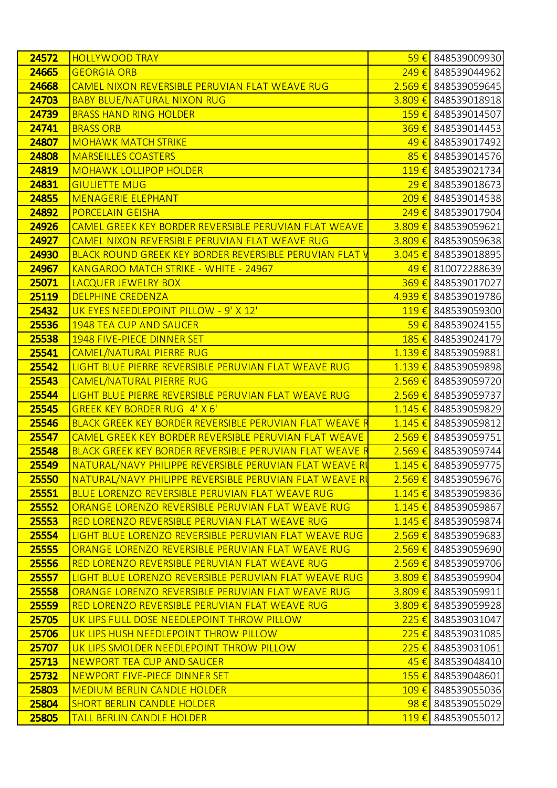| 24572 | <b>HOLLYWOOD TRAY</b>                                          | 59€                | 848539009930                    |
|-------|----------------------------------------------------------------|--------------------|---------------------------------|
| 24665 | <b>GEORGIA ORB</b>                                             |                    | 249 € 848539044962              |
| 24668 | CAMEL NIXON REVERSIBLE PERUVIAN FLAT WEAVE RUG                 | $2.569 \t∈$        | 848539059645                    |
| 24703 | <b>BABY BLUE/NATURAL NIXON RUG</b>                             | $3.809 \t∈$        | 848539018918                    |
| 24739 | <b>BRASS HAND RING HOLDER</b>                                  | $159 \text{ } \in$ | 848539014507                    |
| 24741 | <b>BRASS ORB</b>                                               | 369€               | 848539014453                    |
| 24807 | <b>MOHAWK MATCH STRIKE</b>                                     | 49€                | 848539017492                    |
| 24808 | <b>MARSEILLES COASTERS</b>                                     | 85€                | 848539014576                    |
| 24819 | <b>MOHAWK LOLLIPOP HOLDER</b>                                  | $119 \t\t\epsilon$ | 848539021734                    |
| 24831 | <b>GIULIETTE MUG</b>                                           | $29 \in$           | 848539018673                    |
| 24855 | <b>MENAGERIE ELEPHANT</b>                                      | 209€               | 848539014538                    |
| 24892 | <b>PORCELAIN GEISHA</b>                                        |                    | 249 € 848539017904              |
| 24926 | CAMEL GREEK KEY BORDER REVERSIBLE PERUVIAN FLAT WEAVE          | $3.809 \notin$     | 848539059621                    |
| 24927 | CAMEL NIXON REVERSIBLE PERUVIAN FLAT WEAVE RUG                 | $3.809 \notin$     | 848539059638                    |
| 24930 | BLACK ROUND GREEK KEY BORDER REVERSIBLE PERUVIAN FLAT V        | $3.045 \t∈$        | 848539018895                    |
| 24967 | KANGAROO MATCH STRIKE - WHITE - 24967                          | $49 \in$           | 810072288639                    |
| 25071 | LACQUER JEWELRY BOX                                            | 369€               | 848539017027                    |
| 25119 | <b>DELPHINE CREDENZA</b>                                       | $4.939 \t\epsilon$ | 848539019786                    |
| 25432 | UK EYES NEEDLEPOINT PILLOW - 9' X 12'                          | $119 \t\t\epsilon$ | 848539059300                    |
| 25536 | <b>1948 TEA CUP AND SAUCER</b>                                 | $59 \in$           | 848539024155                    |
| 25538 | 1948 FIVE-PIECE DINNER SET                                     | 185€               | 848539024179                    |
| 25541 | <b>CAMEL/NATURAL PIERRE RUG</b>                                | $1.139 \t∈$        | 848539059881                    |
| 25542 | LIGHT BLUE PIERRE REVERSIBLE PERUVIAN FLAT WEAVE RUG           | $1.139 \t∈$        | 848539059898                    |
| 25543 | <b>CAMEL/NATURAL PIERRE RUG</b>                                | $2.569 \t∈$        | 848539059720                    |
| 25544 | LIGHT BLUE PIERRE REVERSIBLE PERUVIAN FLAT WEAVE RUG           | 2.569 €            | 848539059737                    |
| 25545 | <b>GREEK KEY BORDER RUG 4' X 6'</b>                            | $1.145 \t∈$        | 848539059829                    |
| 25546 | <b>BLACK GREEK KEY BORDER REVERSIBLE PERUVIAN FLAT WEAVE R</b> | $1.145 \t∈$        | 848539059812                    |
| 25547 | CAMEL GREEK KEY BORDER REVERSIBLE PERUVIAN FLAT WEAVE          |                    | $2.569 \in$ 848539059751        |
| 25548 | <b>BLACK GREEK KEY BORDER REVERSIBLE PERUVIAN FLAT WEAVE R</b> | $2.569 \notin$     | 848539059744                    |
| 25549 | <u>NATURAL/NAVY PHILIPPE REVERSIBLE PERUVIAN FLAT WEAVE RI</u> |                    | 1.145 € 848539059775            |
| 25550 | NATURAL/NAVY PHILIPPE REVERSIBLE PERUVIAN FLAT WEAVE RU        |                    | 2.569 € 848539059676            |
| 25551 | <b>BLUE LORENZO REVERSIBLE PERUVIAN FLAT WEAVE RUG</b>         |                    | 1.145 € 848539059836            |
| 25552 | ORANGE LORENZO REVERSIBLE PERUVIAN FLAT WEAVE RUG              |                    | 1.145 € 848539059867            |
| 25553 | <b>RED LORENZO REVERSIBLE PERUVIAN FLAT WEAVE RUG</b>          |                    | 1.145 € 848539059874            |
| 25554 | LIGHT BLUE LORENZO REVERSIBLE PERUVIAN FLAT WEAVE RUG          |                    | $2.569 \t\epsilon$ 848539059683 |
| 25555 | ORANGE LORENZO REVERSIBLE PERUVIAN FLAT WEAVE RUG              |                    | 2.569 € 848539059690            |
| 25556 | RED LORENZO REVERSIBLE PERUVIAN FLAT WEAVE RUG                 |                    | 2.569 € 848539059706            |
| 25557 | LIGHT BLUE LORENZO REVERSIBLE PERUVIAN FLAT WEAVE RUG          |                    | 3.809 € 848539059904            |
| 25558 | ORANGE LORENZO REVERSIBLE PERUVIAN FLAT WEAVE RUG              |                    | 3.809 € 848539059911            |
| 25559 | <b>RED LORENZO REVERSIBLE PERUVIAN FLAT WEAVE RUG</b>          |                    | 3.809 € 848539059928            |
| 25705 | UK LIPS FULL DOSE NEEDLEPOINT THROW PILLOW                     |                    | $225 \t{£}$ 848539031047        |
| 25706 | UK LIPS HUSH NEEDLEPOINT THROW PILLOW                          |                    | $225 \in$ 848539031085          |
| 25707 | UK LIPS SMOLDER NEEDLEPOINT THROW PILLOW                       |                    | $225 \t{€}$ 848539031061        |
| 25713 | NEWPORT TEA CUP AND SAUCER                                     |                    | $\frac{45}{6}$ 848539048410     |
| 25732 | NEWPORT FIVE-PIECE DINNER SET                                  |                    | 155 € 848539048601              |
| 25803 | <b>MEDIUM BERLIN CANDLE HOLDER</b>                             |                    | 109 € 848539055036              |
| 25804 | <b>SHORT BERLIN CANDLE HOLDER</b>                              |                    | $98 \in$ 848539055029           |
| 25805 | <b>TALL BERLIN CANDLE HOLDER</b>                               |                    | 119€ 848539055012               |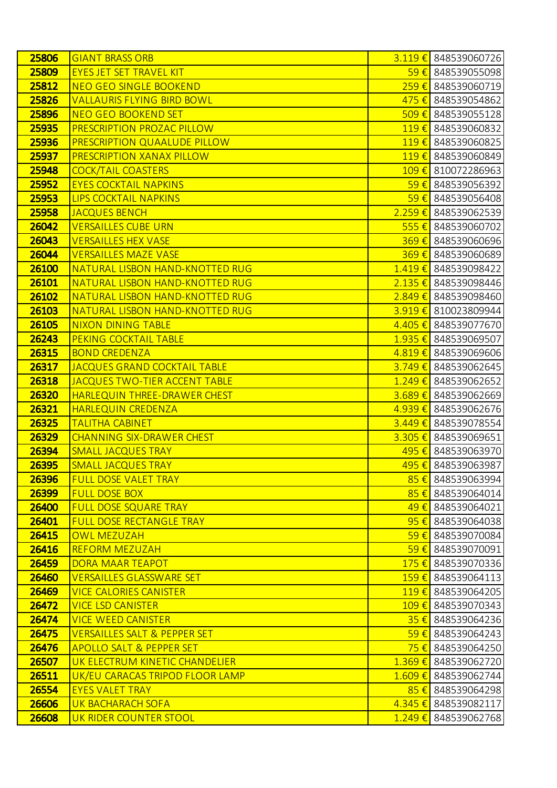| 25806 | <b>GIANT BRASS ORB</b>                  |                    | $3.119 \t\epsilon$ 848539060726  |
|-------|-----------------------------------------|--------------------|----------------------------------|
| 25809 | <b>EYES JET SET TRAVEL KIT</b>          |                    | <mark>59 €</mark> 848539055098   |
| 25812 | <b>NEO GEO SINGLE BOOKEND</b>           | $259 \in$          | 848539060719                     |
| 25826 | <b>VALLAURIS FLYING BIRD BOWL</b>       |                    | 475 € 848539054862               |
| 25896 | <b>NEO GEO BOOKEND SET</b>              | $509 \in$          | 848539055128                     |
| 25935 | PRESCRIPTION PROZAC PILLOW              |                    | $119 \t\epsilon$ 848539060832    |
| 25936 | PRESCRIPTION QUAALUDE PILLOW            | $119 \t\t\epsilon$ | 848539060825                     |
| 25937 | PRESCRIPTION XANAX PILLOW               |                    | 119 € 848539060849               |
| 25948 | <b>COCK/TAIL COASTERS</b>               |                    | 109 € 810072286963               |
| 25952 | <b>EYES COCKTAIL NAPKINS</b>            |                    | $\frac{59 \in}{20}$ 848539056392 |
| 25953 | <b>LIPS COCKTAIL NAPKINS</b>            | $59 \in$           | 848539056408                     |
| 25958 | <b>JACQUES BENCH</b>                    |                    | 2.259 € 848539062539             |
| 26042 | <b>VERSAILLES CUBE URN</b>              | 555 $\epsilon$     | 848539060702                     |
| 26043 | <b>VERSAILLES HEX VASE</b>              |                    | 369 € 848539060696               |
| 26044 | <b>VERSAILLES MAZE VASE</b>             | $369 \in$          | 848539060689                     |
| 26100 | NATURAL LISBON HAND-KNOTTED RUG         |                    | $1.419 \t\epsilon$ 848539098422  |
| 26101 | NATURAL LISBON HAND-KNOTTED RUG         |                    | 2.135 € 848539098446             |
| 26102 | NATURAL LISBON HAND-KNOTTED RUG         |                    | $2.849 \t\epsilon$ 848539098460  |
| 26103 | NATURAL LISBON HAND-KNOTTED RUG         |                    | 3.919 € 810023809944             |
| 26105 | <b>NIXON DINING TABLE</b>               |                    | 4.405 € 848539077670             |
| 26243 | PEKING COCKTAIL TABLE                   | $1.935 \t∈$        | 848539069507                     |
| 26315 | <b>BOND CREDENZA</b>                    |                    | 4.819 € 848539069606             |
| 26317 | <b>JACQUES GRAND COCKTAIL TABLE</b>     | $3.749 \t∈$        | 848539062645                     |
| 26318 | <b>JACQUES TWO-TIER ACCENT TABLE</b>    |                    | $1.249 \in$ 848539062652         |
| 26320 | HARLEQUIN THREE-DRAWER CHEST            | $3.689 \t∈$        | 848539062669                     |
| 26321 | <b>HARLEQUIN CREDENZA</b>               |                    | 4.939 € 848539062676             |
| 26325 | <b>TALITHA CABINET</b>                  | $3.449 \t∈$        | 848539078554                     |
| 26329 | <b>CHANNING SIX-DRAWER CHEST</b>        |                    | $3.305 \t\epsilon$ 848539069651  |
| 26394 | <b>SMALL JACQUES TRAY</b>               | 495€               | 848539063970                     |
| 26395 | <b>SMALL JACQUES TRAY</b>               |                    | 495 € 848539063987               |
| 26396 | <b>FULL DOSE VALET TRAY</b>             | $85 \in$           | 848539063994                     |
| 26399 | <b>FULL DOSE BOX</b>                    |                    | 85 € 848539064014                |
| 26400 | <b>FULL DOSE SQUARE TRAY</b>            | 49€                | 848539064021                     |
| 26401 | <b>FULL DOSE RECTANGLE TRAY</b>         |                    | 95 € 848539064038                |
| 26415 | <b>OWL MEZUZAH</b>                      | $59 \in$           | 848539070084                     |
| 26416 | <b>REFORM MEZUZAH</b>                   |                    | 59 € 848539070091                |
| 26459 | <b>DORA MAAR TEAPOT</b>                 | 175€               | 848539070336                     |
| 26460 | <b>VERSAILLES GLASSWARE SET</b>         |                    | 159 € 848539064113               |
| 26469 | <b>VICE CALORIES CANISTER</b>           |                    | 119€ 848539064205                |
| 26472 | <b>VICE LSD CANISTER</b>                |                    | 109 € 848539070343               |
| 26474 | <b>VICE WEED CANISTER</b>               | $35 \in$           | 848539064236                     |
| 26475 | <b>VERSAILLES SALT &amp; PEPPER SET</b> |                    | $\frac{59 \in 848539064243}{$    |
| 26476 | <b>APOLLO SALT &amp; PEPPER SET</b>     |                    | <mark>75 €</mark> 848539064250   |
| 26507 | UK ELECTRUM KINETIC CHANDELIER          |                    | 1.369 € 848539062720             |
| 26511 | UK/EU CARACAS TRIPOD FLOOR LAMP         | $1.609 \notin$     | 848539062744                     |
| 26554 | <b>EYES VALET TRAY</b>                  |                    | 85 € 848539064298                |
| 26606 | UK BACHARACH SOFA                       | $4.345 \in$        | 848539082117                     |
| 26608 | UK RIDER COUNTER STOOL                  | $1.249 \t∈$        | 848539062768                     |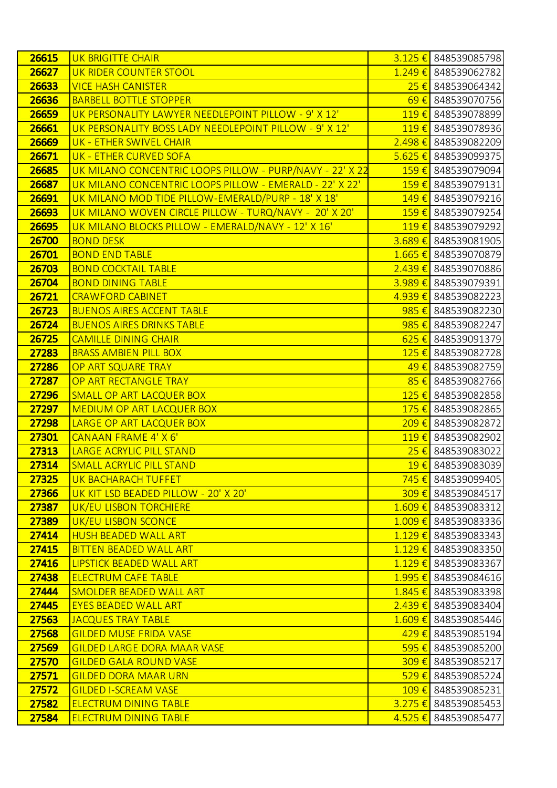| 26615 | <b>UK BRIGITTE CHAIR</b>                                 |                             | 3.125 € 848539085798            |
|-------|----------------------------------------------------------|-----------------------------|---------------------------------|
| 26627 | UK RIDER COUNTER STOOL                                   |                             | 1.249 € 848539062782            |
| 26633 | <b>VICE HASH CANISTER</b>                                | $25 \in$                    | 848539064342                    |
| 26636 | <b>BARBELL BOTTLE STOPPER</b>                            | $69 \in$                    | 848539070756                    |
| 26659 | UK PERSONALITY LAWYER NEEDLEPOINT PILLOW - 9' X 12'      | $119 \in$                   | 848539078899                    |
| 26661 | UK PERSONALITY BOSS LADY NEEDLEPOINT PILLOW - 9' X 12'   |                             | 119€ 848539078936               |
| 26669 | UK - ETHER SWIVEL CHAIR                                  | $2.498 \t∈$                 | 848539082209                    |
| 26671 | UK - ETHER CURVED SOFA                                   |                             | $5.625 \in$ 848539099375        |
| 26685 | UK MILANO CONCENTRIC LOOPS PILLOW - PURP/NAVY - 22' X 22 |                             | 159 € 848539079094              |
| 26687 | UK MILANO CONCENTRIC LOOPS PILLOW - EMERALD - 22' X 22'  |                             | 159 € 848539079131              |
| 26691 | UK MILANO MOD TIDE PILLOW-EMERALD/PURP - 18' X 18'       | 149€                        | 848539079216                    |
| 26693 | UK MILANO WOVEN CIRCLE PILLOW - TURQ/NAVY - 20' X 20'    |                             | 159 € 848539079254              |
| 26695 | UK MILANO BLOCKS PILLOW - EMERALD/NAVY - 12' X 16'       | $119 \t\t\epsilon$          | 848539079292                    |
| 26700 | <b>BOND DESK</b>                                         |                             | 3.689 € 848539081905            |
| 26701 | <b>BOND END TABLE</b>                                    | $1.665 \in$                 | 848539070879                    |
| 26703 | <b>BOND COCKTAIL TABLE</b>                               |                             | 2.439 € 848539070886            |
| 26704 | <b>BOND DINING TABLE</b>                                 |                             | $3.989 \t\epsilon$ 848539079391 |
| 26721 | <b>CRAWFORD CABINET</b>                                  |                             | 4.939 € 848539082223            |
| 26723 | <b>BUENOS AIRES ACCENT TABLE</b>                         | 985€                        | 848539082230                    |
| 26724 | <b>BUENOS AIRES DRINKS TABLE</b>                         |                             | 985 € 848539082247              |
| 26725 | <b>CAMILLE DINING CHAIR</b>                              | $625 \in$                   | 848539091379                    |
| 27283 | <b>BRASS AMBIEN PILL BOX</b>                             | $125 \in$                   | 848539082728                    |
| 27286 | OP ART SQUARE TRAY                                       | 49€                         | 848539082759                    |
| 27287 | OP ART RECTANGLE TRAY                                    | $85 \in$                    | 848539082766                    |
| 27296 | SMALL OP ART LACQUER BOX                                 | $125 \in$                   | 848539082858                    |
| 27297 | <b>MEDIUM OP ART LACQUER BOX</b>                         |                             | 175 € 848539082865              |
| 27298 | LARGE OP ART LACQUER BOX                                 | $209 \text{ } \in \text{ }$ | 848539082872                    |
| 27301 | CANAAN FRAME 4' X 6'                                     |                             | 119€ 848539082902               |
| 27313 | <b>LARGE ACRYLIC PILL STAND</b>                          |                             | $25 \in$ 848539083022           |
| 27314 | <b>SMALL ACRYLIC PILL STAND</b>                          |                             | 19 € 848539083039               |
| 27325 | UK BACHARACH TUFFET                                      |                             | 745 € 848539099405              |
| 27366 | UK KIT LSD BEADED PILLOW - 20' X 20'                     |                             | 309 € 848539084517              |
| 27387 | UK/EU LISBON TORCHIERE                                   |                             | $1.609 \t\epsilon$ 848539083312 |
| 27389 | <b>UK/EU LISBON SCONCE</b>                               |                             | 1.009 € 848539083336            |
| 27414 | <b>HUSH BEADED WALL ART</b>                              |                             | 1.129 € 848539083343            |
| 27415 | <b>BITTEN BEADED WALL ART</b>                            |                             | 1.129 € 848539083350            |
| 27416 | <b>LIPSTICK BEADED WALL ART</b>                          |                             | $1.129 \t\epsilon$ 848539083367 |
| 27438 | <b>ELECTRUM CAFE TABLE</b>                               |                             | 1.995 € 848539084616            |
| 27444 | <b>SMOLDER BEADED WALL ART</b>                           |                             | 1.845 € 848539083398            |
| 27445 | <b>EYES BEADED WALL ART</b>                              |                             | $2.439 \t\epsilon$ 848539083404 |
| 27563 | <b>JACQUES TRAY TABLE</b>                                |                             | 1.609 € 848539085446            |
| 27568 | <b>GILDED MUSE FRIDA VASE</b>                            |                             | 429 € 848539085194              |
| 27569 | <b>GILDED LARGE DORA MAAR VASE</b>                       |                             | 595 € 848539085200              |
| 27570 | <b>GILDED GALA ROUND VASE</b>                            |                             | 309 € 848539085217              |
| 27571 | <b>GILDED DORA MAAR URN</b>                              |                             | 529 € 848539085224              |
| 27572 | <b>GILDED I-SCREAM VASE</b>                              |                             | 109 € 848539085231              |
| 27582 | <b>ELECTRUM DINING TABLE</b>                             |                             | 3.275 € 848539085453            |
| 27584 | <b>ELECTRUM DINING TABLE</b>                             |                             | 4.525 € 848539085477            |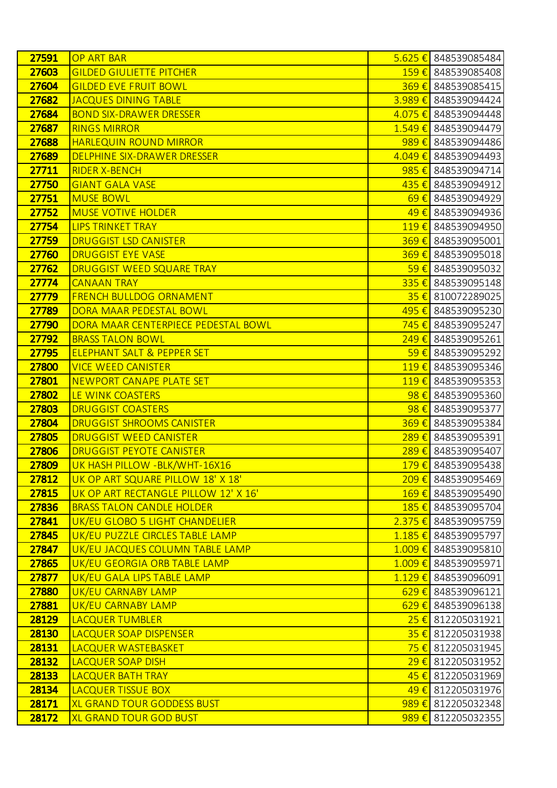| 27591          | <b>OP ART BAR</b>                                |                | 5.625 € 848539085484                               |
|----------------|--------------------------------------------------|----------------|----------------------------------------------------|
| 27603          | <b>GILDED GIULIETTE PITCHER</b>                  |                | 159 € 848539085408                                 |
| 27604          | <b>GILDED EVE FRUIT BOWL</b>                     |                | 369 € 848539085415                                 |
| 27682          | <b>JACQUES DINING TABLE</b>                      |                | 3.989 € 848539094424                               |
| 27684          | <b>BOND SIX-DRAWER DRESSER</b>                   |                | 4.075 € 848539094448                               |
| 27687          | <b>RINGS MIRROR</b>                              |                | 1.549 € 848539094479                               |
| 27688          | <b>HARLEQUIN ROUND MIRROR</b>                    | 989€           | 848539094486                                       |
| 27689          | DELPHINE SIX-DRAWER DRESSER                      |                | 4.049 € 848539094493                               |
| 27711          | <b>RIDER X-BENCH</b>                             | 985 $\epsilon$ | 848539094714                                       |
| 27750          | <b>GIANT GALA VASE</b>                           |                | 435 € 848539094912                                 |
| 27751          | <b>MUSE BOWL</b>                                 | 69E            | 848539094929                                       |
| 27752          | <b>MUSE VOTIVE HOLDER</b>                        |                | 49 € 848539094936                                  |
| 27754          | <b>LIPS TRINKET TRAY</b>                         |                | 119€ 848539094950                                  |
| 27759          | <b>DRUGGIST LSD CANISTER</b>                     |                | 369 € 848539095001                                 |
| 27760          | <b>DRUGGIST EYE VASE</b>                         | $369 \in$      | 848539095018                                       |
| 27762          | DRUGGIST WEED SQUARE TRAY                        |                | $\frac{59 \in 848539095032}{$                      |
| 27774          | <b>CANAAN TRAY</b>                               |                | 335 € 848539095148                                 |
| 27779          | <b>FRENCH BULLDOG ORNAMENT</b>                   |                | 35 € 810072289025                                  |
| 27789          | DORA MAAR PEDESTAL BOWL                          | 495€           | 848539095230                                       |
| 27790          | DORA MAAR CENTERPIECE PEDESTAL BOWL              |                | <mark>745 €</mark> 848539095247                    |
| 27792          | <b>BRASS TALON BOWL</b>                          | $249 \in$      | 848539095261                                       |
| 27795          | <b>ELEPHANT SALT &amp; PEPPER SET</b>            |                | $\frac{59 \in 848539095292}{848539095292}$         |
| 27800          | <b>VICE WEED CANISTER</b>                        | 119€           | 848539095346                                       |
| 27801          | <b>NEWPORT CANAPE PLATE SET</b>                  |                | 119 € 848539095353                                 |
| 27802          | LE WINK COASTERS                                 | 98€            | 848539095360                                       |
| 27803          | <b>DRUGGIST COASTERS</b>                         |                | 98 € 848539095377                                  |
| 27804          | <b>DRUGGIST SHROOMS CANISTER</b>                 | 369€           | 848539095384                                       |
| 27805          | <b>DRUGGIST WEED CANISTER</b>                    |                | 289 € 848539095391                                 |
| 27806          | <b>DRUGGIST PEYOTE CANISTER</b>                  |                | 289 € 848539095407                                 |
| 27809          | UK HASH PILLOW - BLK/WHT-16X16                   |                | 179 € 848539095438                                 |
| 27812          | UK OP ART SQUARE PILLOW 18' X 18'                |                | 209 € 848539095469                                 |
| 27815          | UK OP ART RECTANGLE PILLOW 12' X 16'             |                | 169 € 848539095490                                 |
| 27836          | <b>BRASS TALON CANDLE HOLDER</b>                 |                | 185 € 848539095704                                 |
| 27841          | UK/EU GLOBO 5 LIGHT CHANDELIER                   |                | 2.375 € 848539095759                               |
| 27845          | UK/EU PUZZLE CIRCLES TABLE LAMP                  |                | $1.185 \in$ 848539095797                           |
| 27847<br>27865 | UK/EU JACQUES COLUMN TABLE LAMP                  |                | 1.009 € 848539095810                               |
| 27877          | UK/EU GEORGIA ORB TABLE LAMP                     |                | $1.009$ € 848539095971<br>$1.129 \in$ 848539096091 |
| 27880          | UK/EU GALA LIPS TABLE LAMP<br>UK/EU CARNABY LAMP |                | $629 \t\epsilon$ 848539096121                      |
| 27881          | <b>UK/EU CARNABY LAMP</b>                        |                | $629 \t\epsilon$ 848539096138                      |
| 28129          | LACQUER TUMBLER                                  |                | $25 \in$ 812205031921                              |
| 28130          | LACQUER SOAP DISPENSER                           |                | 35 € 812205031938                                  |
| 28131          | LACQUER WASTEBASKET                              |                | <mark>75 €</mark> 812205031945                     |
| 28132          | LACQUER SOAP DISH                                |                | 29 € 812205031952                                  |
| 28133          | <b>LACQUER BATH TRAY</b>                         |                | $\frac{45}{6}$ 812205031969                        |
| 28134          | <b>LACQUER TISSUE BOX</b>                        |                | 49 € 812205031976                                  |
| 28171          | <b>XL GRAND TOUR GODDESS BUST</b>                |                | 989 € 812205032348                                 |
| 28172          | <b>XL GRAND TOUR GOD BUST</b>                    |                | 989 € 812205032355                                 |
|                |                                                  |                |                                                    |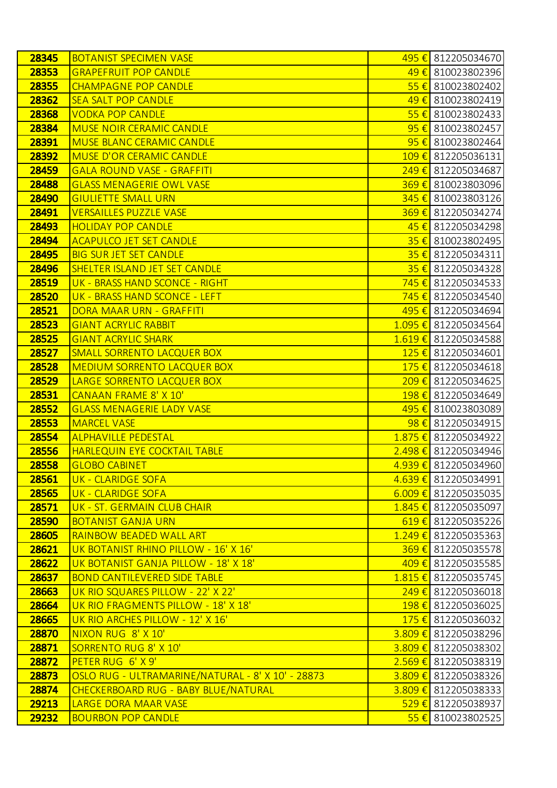| 28345          | <b>BOTANIST SPECIMEN VASE</b>                                               | 495 € 812205034670                         |
|----------------|-----------------------------------------------------------------------------|--------------------------------------------|
| 28353          | <b>GRAPEFRUIT POP CANDLE</b>                                                | 49 € 810023802396                          |
| 28355          | <b>CHAMPAGNE POP CANDLE</b>                                                 | $55 \in$ 810023802402                      |
| 28362          | <b>SEA SALT POP CANDLE</b>                                                  | 49 € 810023802419                          |
| 28368          | <b>VODKA POP CANDLE</b>                                                     | $55 \in$ 810023802433                      |
| 28384          | <b>MUSE NOIR CERAMIC CANDLE</b>                                             | $95 \in$ 810023802457                      |
| 28391          | <b>MUSE BLANC CERAMIC CANDLE</b>                                            | $95 \in$ 810023802464                      |
| 28392          | <b>MUSE D'OR CERAMIC CANDLE</b>                                             | $109 \text{€}$ 812205036131                |
| 28459          | <b>GALA ROUND VASE - GRAFFITI</b>                                           | 249 € 812205034687                         |
| 28488          | <b>GLASS MENAGERIE OWL VASE</b>                                             | 369 € 810023803096                         |
| 28490          | <b>GIULIETTE SMALL URN</b>                                                  | 345 € 810023803126                         |
| 28491          | <b>VERSAILLES PUZZLE VASE</b>                                               | 369€ 812205034274                          |
| 28493          | <b>HOLIDAY POP CANDLE</b>                                                   | 45 € 812205034298                          |
| 28494          | <b>ACAPULCO JET SET CANDLE</b>                                              | 35 € 810023802495                          |
| 28495          | <b>BIG SUR JET SET CANDLE</b>                                               | $35 \in$ 812205034311                      |
| 28496          | SHELTER ISLAND JET SET CANDLE                                               | 35 € 812205034328                          |
| 28519          | UK - BRASS HAND SCONCE - RIGHT                                              | <mark>745 €</mark> 812205034533            |
| 28520          | UK - BRASS HAND SCONCE - LEFT                                               | <mark>745 €</mark> 812205034540            |
| 28521          | DORA MAAR URN - GRAFFITI                                                    | 495 € 812205034694                         |
| 28523          | <b>GIANT ACRYLIC RABBIT</b>                                                 | 1.095 € 812205034564                       |
| 28525          | <b>GIANT ACRYLIC SHARK</b>                                                  | 1.619 € 812205034588                       |
| 28527          | <b>SMALL SORRENTO LACQUER BOX</b>                                           | $125 \in$ 812205034601                     |
| 28528          | <b>MEDIUM SORRENTO LACQUER BOX</b>                                          | 175 € 812205034618                         |
| 28529          | LARGE SORRENTO LACQUER BOX                                                  | 209 € 812205034625                         |
| 28531          | <b>CANAAN FRAME 8' X 10'</b>                                                | 198 € 812205034649                         |
| 28552          | <b>GLASS MENAGERIE LADY VASE</b>                                            | 495 € 810023803089                         |
| 28553          | <b>MARCEL VASE</b>                                                          | $98 \in$ 812205034915                      |
| 28554          | <b>ALPHAVILLE PEDESTAL</b>                                                  | $1.875 \in$ 812205034922                   |
| 28556          | <b>HARLEQUIN EYE COCKTAIL TABLE</b>                                         | 2.498 € 812205034946                       |
| 28558          | <b>GLOBO CABINET</b>                                                        | 4.939 € 812205034960                       |
| 28561          | <b>UK - CLARIDGE SOFA</b>                                                   | 4.639 € 812205034991                       |
| 28565          | <b>UK - CLARIDGE SOFA</b>                                                   | $6.009 \in$ 812205035035                   |
| 28571          | UK - ST. GERMAIN CLUB CHAIR                                                 | $1.845 \in$ 812205035097                   |
| 28590          | <b>BOTANIST GANJA URN</b>                                                   | $619 \in$ 812205035226                     |
| 28605          | <b>RAINBOW BEADED WALL ART</b>                                              | $1.249 \t\epsilon$ 812205035363            |
| 28621          | UK BOTANIST RHINO PILLOW - 16' X 16'                                        | 369 € 812205035578                         |
| 28622<br>28637 | UK BOTANIST GANJA PILLOW - 18' X 18'<br><b>BOND CANTILEVERED SIDE TABLE</b> | 409 € 812205035585<br>1.815 € 812205035745 |
| 28663          | UK RIO SQUARES PILLOW - 22' X 22'                                           | 249 € 812205036018                         |
| 28664          | UK RIO FRAGMENTS PILLOW - 18' X 18'                                         | 198 € 812205036025                         |
| 28665          | UK RIO ARCHES PILLOW - 12' X 16'                                            | 175 € 812205036032                         |
| 28870          | NIXON RUG 8' X 10'                                                          | 3.809 € 812205038296                       |
| 28871          | SORRENTO RUG 8' X 10'                                                       | 3.809 € 812205038302                       |
| 28872          | PETER RUG 6' X 9'                                                           | $2.569 \in$ 812205038319                   |
| 28873          | OSLO RUG - ULTRAMARINE/NATURAL - 8' X 10' - 28873                           | $3.809 \t\epsilon$ 812205038326            |
| 28874          | CHECKERBOARD RUG - BABY BLUE/NATURAL                                        | 3.809 € 812205038333                       |
| 29213          | LARGE DORA MAAR VASE                                                        | 529 € 812205038937                         |
| 29232          | <b>BOURBON POP CANDLE</b>                                                   | $55 \in$ 810023802525                      |
|                |                                                                             |                                            |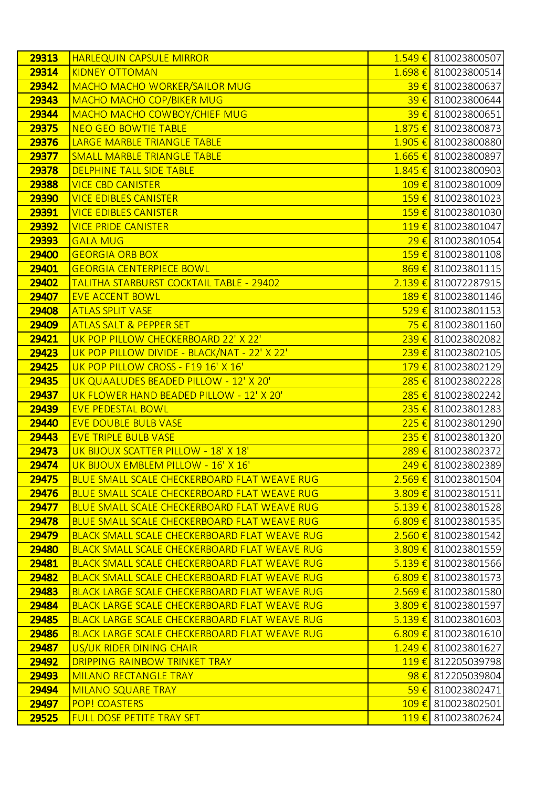| 29313 | <b>HARLEQUIN CAPSULE MIRROR</b>                      |                    | 1.549 € 810023800507            |
|-------|------------------------------------------------------|--------------------|---------------------------------|
| 29314 | <b>KIDNEY OTTOMAN</b>                                |                    | 1.698 € 810023800514            |
| 29342 | <b>MACHO MACHO WORKER/SAILOR MUG</b>                 | 39€                | 810023800637                    |
| 29343 | <b>MACHO MACHO COP/BIKER MUG</b>                     | $39 \in$           | 810023800644                    |
| 29344 | MACHO MACHO COWBOY/CHIEF MUG                         | $39 \in$           | 810023800651                    |
| 29375 | <b>NEO GEO BOWTIE TABLE</b>                          |                    | 1.875 € 810023800873            |
| 29376 | LARGE MARBLE TRIANGLE TABLE                          | $1.905 \in$        | 810023800880                    |
| 29377 | <b>SMALL MARBLE TRIANGLE TABLE</b>                   |                    | $1.665 \in$ 810023800897        |
| 29378 | <b>DELPHINE TALL SIDE TABLE</b>                      | $1.845 \in$        | 810023800903                    |
| 29388 | <b>VICE CBD CANISTER</b>                             |                    | 109 € 810023801009              |
| 29390 | <b>VICE EDIBLES CANISTER</b>                         | 159€               | 810023801023                    |
| 29391 | <b>VICE EDIBLES CANISTER</b>                         |                    | 159€ 810023801030               |
| 29392 | <b>VICE PRIDE CANISTER</b>                           | $119 \t\t\epsilon$ | 810023801047                    |
| 29393 | <b>GALA MUG</b>                                      |                    | 29 € 810023801054               |
| 29400 | <b>GEORGIA ORB BOX</b>                               | 159€               | 810023801108                    |
| 29401 | <b>GEORGIA CENTERPIECE BOWL</b>                      |                    | 869€ 810023801115               |
| 29402 | TALITHA STARBURST COCKTAIL TABLE - 29402             | $2.139 \t∈$        | 810072287915                    |
| 29407 | <b>EVE ACCENT BOWL</b>                               |                    | 189€ 810023801146               |
| 29408 | <b>ATLAS SPLIT VASE</b>                              | $529 \in$          | 810023801153                    |
| 29409 | <b>ATLAS SALT &amp; PEPPER SET</b>                   |                    | <mark>75 €</mark> 810023801160  |
| 29421 | UK POP PILLOW CHECKERBOARD 22' X 22'                 | $239 \in$          | 810023802082                    |
| 29423 | UK POP PILLOW DIVIDE - BLACK/NAT - 22' X 22'         |                    | 239 € 810023802105              |
| 29425 | UK POP PILLOW CROSS - F19 16' X 16'                  | 179€               | 810023802129                    |
| 29435 | UK QUAALUDES BEADED PILLOW - 12' X 20'               |                    | 285 € 810023802228              |
| 29437 | UK FLOWER HAND BEADED PILLOW - 12' X 20'             | 285€               | 810023802242                    |
| 29439 | <b>EVE PEDESTAL BOWL</b>                             |                    | $235 \in$ 810023801283          |
| 29440 | <b>EVE DOUBLE BULB VASE</b>                          | $225 \in$          | 810023801290                    |
| 29443 | <b>EVE TRIPLE BULB VASE</b>                          |                    | 235 € 810023801320              |
| 29473 | UK BIJOUX SCATTER PILLOW - 18' X 18'                 | 289€               | 810023802372                    |
| 29474 | UK BIJOUX EMBLEM PILLOW - 16' X 16'                  |                    | 249 € 810023802389              |
| 29475 | BLUE SMALL SCALE CHECKERBOARD FLAT WEAVE RUG         |                    | $2.569 \in$ 810023801504        |
| 29476 | BLUE SMALL SCALE CHECKERBOARD FLAT WEAVE RUG         |                    | 3.809 € 810023801511            |
| 29477 | BLUE SMALL SCALE CHECKERBOARD FLAT WEAVE RUG         |                    | $5.139 \t\epsilon$ 810023801528 |
| 29478 | BLUE SMALL SCALE CHECKERBOARD FLAT WEAVE RUG         |                    | $6.809 \in$ 810023801535        |
| 29479 | <b>BLACK SMALL SCALE CHECKERBOARD FLAT WEAVE RUG</b> |                    | $2.560 \in$ 810023801542        |
| 29480 | <b>BLACK SMALL SCALE CHECKERBOARD FLAT WEAVE RUG</b> |                    | 3.809 € 810023801559            |
| 29481 | <b>BLACK SMALL SCALE CHECKERBOARD FLAT WEAVE RUG</b> |                    | $5.139 \t\epsilon$ 810023801566 |
| 29482 | <b>BLACK SMALL SCALE CHECKERBOARD FLAT WEAVE RUG</b> |                    | $6.809 \in$ 810023801573        |
| 29483 | <b>BLACK LARGE SCALE CHECKERBOARD FLAT WEAVE RUG</b> |                    | $2.569 \in$ 810023801580        |
| 29484 | <b>BLACK LARGE SCALE CHECKERBOARD FLAT WEAVE RUG</b> |                    | $3.809 \t\epsilon$ 810023801597 |
| 29485 | <b>BLACK LARGE SCALE CHECKERBOARD FLAT WEAVE RUG</b> |                    | $5.139 \t\epsilon$ 810023801603 |
| 29486 | <b>BLACK LARGE SCALE CHECKERBOARD FLAT WEAVE RUG</b> |                    | $6.809 \in$ 810023801610        |
| 29487 | US/UK RIDER DINING CHAIR                             |                    | $1.249 \t\epsilon$ 810023801627 |
| 29492 | <b>DRIPPING RAINBOW TRINKET TRAY</b>                 |                    | 119€ 812205039798               |
| 29493 | <b>MILANO RECTANGLE TRAY</b>                         |                    | 98 € 812205039804               |
| 29494 | <b>MILANO SQUARE TRAY</b>                            |                    | $\frac{59 \in 810023802471}{$   |
| 29497 | <b>POP! COASTERS</b>                                 |                    | 109 € 810023802501              |
| 29525 | <b>FULL DOSE PETITE TRAY SET</b>                     |                    | 119€ 810023802624               |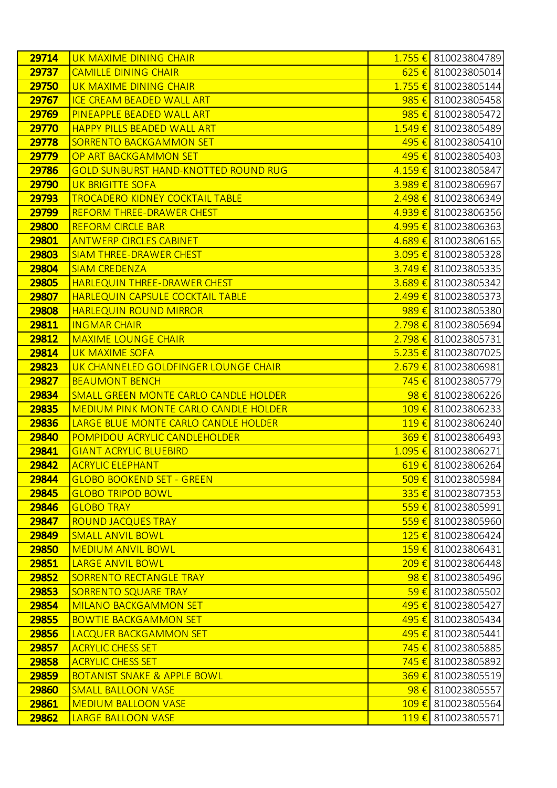| 29714          | UK MAXIME DINING CHAIR                             |                    | 1.755 € 810023804789                           |
|----------------|----------------------------------------------------|--------------------|------------------------------------------------|
| 29737          | <b>CAMILLE DINING CHAIR</b>                        |                    | 625 € 810023805014                             |
| 29750          | UK MAXIME DINING CHAIR                             |                    | 1.755 € 810023805144                           |
| 29767          | <b>ICE CREAM BEADED WALL ART</b>                   |                    | $985 \in$ 810023805458                         |
| 29769          | PINEAPPLE BEADED WALL ART                          |                    | $985 \in$ 810023805472                         |
| 29770          | <b>HAPPY PILLS BEADED WALL ART</b>                 |                    | 1.549 € 810023805489                           |
| 29778          | SORRENTO BACKGAMMON SET                            |                    | 495 € 810023805410                             |
| 29779          | OP ART BACKGAMMON SET                              |                    | 495 € 810023805403                             |
| 29786          | <b>GOLD SUNBURST HAND-KNOTTED ROUND RUG</b>        |                    | 4.159 € 810023805847                           |
| 29790          | <b>UK BRIGITTE SOFA</b>                            |                    | 3.989 € 810023806967                           |
| 29793          | <b>TROCADERO KIDNEY COCKTAIL TABLE</b>             |                    | 2.498 € 810023806349                           |
| 29799          | <b>REFORM THREE-DRAWER CHEST</b>                   |                    | 4.939 € 810023806356                           |
| 29800          | <b>REFORM CIRCLE BAR</b>                           |                    | 4.995 € 810023806363                           |
| 29801          | <b>ANTWERP CIRCLES CABINET</b>                     |                    | $4.689 \t\epsilon$ 810023806165                |
| 29803          | <b>SIAM THREE-DRAWER CHEST</b>                     |                    | 3.095 € 810023805328                           |
| 29804          | <b>SIAM CREDENZA</b>                               |                    | $3.749 \in$ 810023805335                       |
| 29805          | <b>HARLEQUIN THREE-DRAWER CHEST</b>                |                    | 3.689 € 810023805342                           |
| 29807          | HARLEQUIN CAPSULE COCKTAIL TABLE                   |                    | 2.499 € 810023805373                           |
| 29808          | <b>HARLEQUIN ROUND MIRROR</b>                      |                    | 989€ 810023805380                              |
| 29811          | <b>INGMAR CHAIR</b>                                |                    | 2.798 € 810023805694                           |
| 29812          | <b>MAXIME LOUNGE CHAIR</b>                         |                    | 2.798 € 810023805731                           |
| 29814          | <b>UK MAXIME SOFA</b>                              |                    | $5.235 \in$ 810023807025                       |
| 29823          | UK CHANNELED GOLDFINGER LOUNGE CHAIR               |                    | $2.679 \in$ 810023806981                       |
| 29827          | <b>BEAUMONT BENCH</b>                              |                    | 745 € 810023805779                             |
| 29834          | SMALL GREEN MONTE CARLO CANDLE HOLDER              | $98 \in$           | 810023806226                                   |
| 29835          | <b>MEDIUM PINK MONTE CARLO CANDLE HOLDER</b>       |                    | 109 € 810023806233                             |
| 29836          | LARGE BLUE MONTE CARLO CANDLE HOLDER               | $119 \t\t\epsilon$ | 810023806240                                   |
| 29840          | POMPIDOU ACRYLIC CANDLEHOLDER                      |                    | 369 € 810023806493                             |
| 29841          | <b>GIANT ACRYLIC BLUEBIRD</b>                      |                    | 1.095 € 810023806271                           |
| 29842          | <b>ACRYLIC ELEPHANT</b>                            |                    | $619 \in$ 810023806264                         |
| 29844          | <b>GLOBO BOOKEND SET - GREEN</b>                   |                    | 509 € 810023805984                             |
| 29845          | <b>GLOBO TRIPOD BOWL</b>                           |                    | 335 € 810023807353                             |
| 29846          | <b>GLOBO TRAY</b>                                  | $559 \in$          | 810023805991                                   |
| 29847          | <b>ROUND JACQUES TRAY</b>                          |                    | 559 € 810023805960                             |
| 29849          | <b>SMALL ANVIL BOWL</b>                            |                    | 125 € 810023806424                             |
| 29850          | <b>MEDIUM ANVIL BOWL</b>                           |                    | 159€ 810023806431                              |
| 29851<br>29852 | <b>LARGE ANVIL BOWL</b><br>SORRENTO RECTANGLE TRAY | 209€               | 810023806448<br>98 € 810023805496              |
| 29853          | <b>SORRENTO SQUARE TRAY</b>                        |                    | $\overline{59}$ € 810023805502                 |
| 29854          | <b>MILANO BACKGAMMON SET</b>                       |                    | 495 € 810023805427                             |
| 29855          | <b>BOWTIE BACKGAMMON SET</b>                       | 495€               | 810023805434                                   |
| 29856          | LACQUER BACKGAMMON SET                             |                    | $\frac{495 \text{ } \epsilon}{2}$ 810023805441 |
| 29857          | <b>ACRYLIC CHESS SET</b>                           |                    | 745 € 810023805885                             |
| 29858          | <b>ACRYLIC CHESS SET</b>                           |                    | 745 € 810023805892                             |
| 29859          | <b>BOTANIST SNAKE &amp; APPLE BOWL</b>             | $369 \text{ } \in$ | 810023805519                                   |
| 29860          | <b>SMALL BALLOON VASE</b>                          |                    | $98 \in$ 810023805557                          |
| 29861          | <b>MEDIUM BALLOON VASE</b>                         | $109 \text{ } \in$ | 810023805564                                   |
| 29862          | <b>LARGE BALLOON VASE</b>                          |                    | 119€ 810023805571                              |
|                |                                                    |                    |                                                |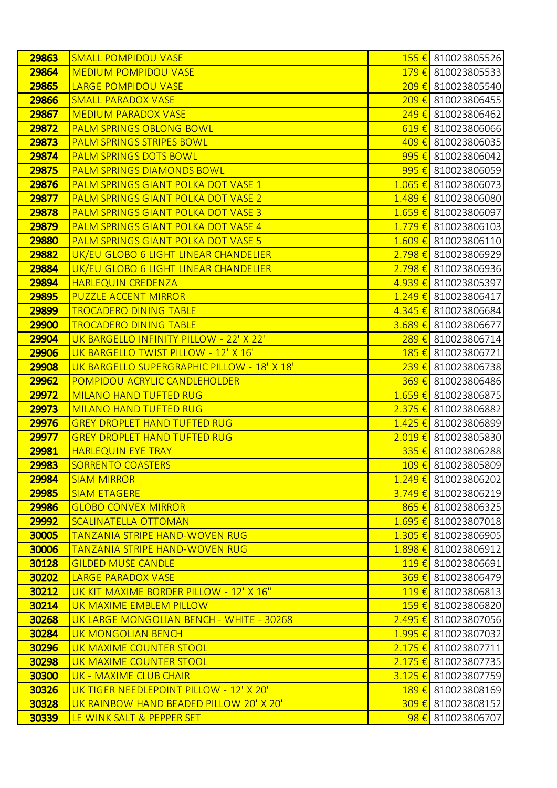| 29863 | <b>SMALL POMPIDOU VASE</b>                  |                    | 155 € 810023805526              |
|-------|---------------------------------------------|--------------------|---------------------------------|
| 29864 | <b>MEDIUM POMPIDOU VASE</b>                 |                    | 179 € 810023805533              |
| 29865 | <b>LARGE POMPIDOU VASE</b>                  | $209 \text{ } \in$ | 810023805540                    |
| 29866 | <b>SMALL PARADOX VASE</b>                   | 209€               | 810023806455                    |
| 29867 | <b>MEDIUM PARADOX VASE</b>                  | 249€               | 810023806462                    |
| 29872 | <b>PALM SPRINGS OBLONG BOWL</b>             |                    | 619€ 810023806066               |
| 29873 | <b>PALM SPRINGS STRIPES BOWL</b>            | 409€               | 810023806035                    |
| 29874 | <b>PALM SPRINGS DOTS BOWL</b>               |                    | $995 \in$ 810023806042          |
| 29875 | <b>PALM SPRINGS DIAMONDS BOWL</b>           | 995€               | 810023806059                    |
| 29876 | PALM SPRINGS GIANT POLKA DOT VASE 1         |                    | $1.065 \in$ 810023806073        |
| 29877 | PALM SPRINGS GIANT POLKA DOT VASE 2         | $1.489 \notin$     | 810023806080                    |
| 29878 | <b>PALM SPRINGS GIANT POLKA DOT VASE 3</b>  |                    | $1.659 \in$ 810023806097        |
| 29879 | PALM SPRINGS GIANT POLKA DOT VASE 4         |                    | $1.779 \t\epsilon$ 810023806103 |
| 29880 | <b>PALM SPRINGS GIANT POLKA DOT VASE 5</b>  |                    | $1.609 \in$ 810023806110        |
| 29882 | UK/EU GLOBO 6 LIGHT LINEAR CHANDELIER       | $2.798 \t∈$        | 810023806929                    |
| 29884 | UK/EU GLOBO 6 LIGHT LINEAR CHANDELIER       |                    | 2.798 € 810023806936            |
| 29894 | <b>HARLEQUIN CREDENZA</b>                   | 4.939 €            | 810023805397                    |
| 29895 | <b>PUZZLE ACCENT MIRROR</b>                 |                    | $1.249 \in$ 810023806417        |
| 29899 | <b>TROCADERO DINING TABLE</b>               | $4.345 \in$        | 810023806684                    |
| 29900 | <b>TROCADERO DINING TABLE</b>               |                    | $3.689 \t\epsilon$ 810023806677 |
| 29904 | UK BARGELLO INFINITY PILLOW - 22' X 22'     | $289 \text{ } \in$ | 810023806714                    |
| 29906 | UK BARGELLO TWIST PILLOW - 12' X 16'        |                    | 185 € 810023806721              |
| 29908 | UK BARGELLO SUPERGRAPHIC PILLOW - 18' X 18' | 239€               | 810023806738                    |
| 29962 | <b>POMPIDOU ACRYLIC CANDLEHOLDER</b>        |                    | 369 € 810023806486              |
| 29972 | <b>MILANO HAND TUFTED RUG</b>               | $1.659 \t∈$        | 810023806875                    |
| 29973 | <b>MILANO HAND TUFTED RUG</b>               |                    | $2.375 \t\epsilon$ 810023806882 |
| 29976 | <b>GREY DROPLET HAND TUFTED RUG</b>         | $1.425 \in$        | 810023806899                    |
| 29977 | <b>GREY DROPLET HAND TUFTED RUG</b>         |                    | 2.019 € 810023805830            |
| 29981 | <b>HARLEQUIN EYE TRAY</b>                   | 335 $\epsilon$     | 810023806288                    |
| 29983 | <b>SORRENTO COASTERS</b>                    |                    | 109 € 810023805809              |
| 29984 | <b>SIAM MIRROR</b>                          |                    | $1.249 \in$ 810023806202        |
| 29985 | <b>SIAM ETAGERE</b>                         |                    | 3.749 € 810023806219            |
| 29986 | <b>GLOBO CONVEX MIRROR</b>                  |                    | $865 \text{€}$ 810023806325     |
| 29992 | <b>SCALINATELLA OTTOMAN</b>                 |                    | 1.695 € 810023807018            |
| 30005 | <b>TANZANIA STRIPE HAND-WOVEN RUG</b>       |                    | 1.305 € 810023806905            |
| 30006 | <b>TANZANIA STRIPE HAND-WOVEN RUG</b>       |                    | 1.898 € 810023806912            |
| 30128 | <b>GILDED MUSE CANDLE</b>                   |                    | $119 \t\epsilon$ 810023806691   |
| 30202 | <b>LARGE PARADOX VASE</b>                   |                    | 369€ 810023806479               |
| 30212 | UK KIT MAXIME BORDER PILLOW - 12' X 16"     |                    | 119€ 810023806813               |
| 30214 | UK MAXIME EMBLEM PILLOW                     |                    | 159 € 810023806820              |
| 30268 | UK LARGE MONGOLIAN BENCH - WHITE - 30268    | $2.495 \t∈$        | 810023807056                    |
| 30284 | <b>UK MONGOLIAN BENCH</b>                   |                    | 1.995 € 810023807032            |
| 30296 | UK MAXIME COUNTER STOOL                     |                    | $2.175 \in$ 810023807711        |
| 30298 | UK MAXIME COUNTER STOOL                     |                    | 2.175 € 810023807735            |
| 30300 | UK - MAXIME CLUB CHAIR                      | $3.125 \in$        | 810023807759                    |
| 30326 | UK TIGER NEEDLEPOINT PILLOW - 12' X 20'     |                    | 189€ 810023808169               |
| 30328 | UK RAINBOW HAND BEADED PILLOW 20' X 20'     | $309 \text{ } \in$ | 810023808152                    |
| 30339 | LE WINK SALT & PEPPER SET                   | <u>98€</u>         | 810023806707                    |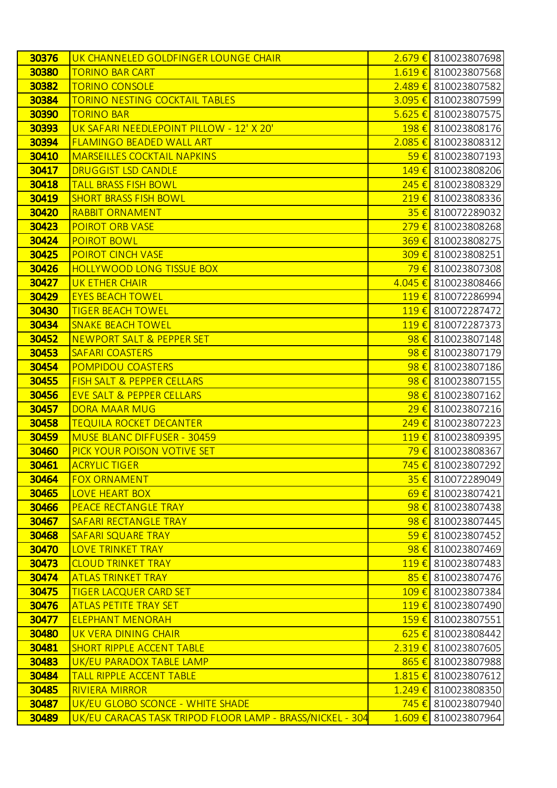| 30376 | UK CHANNELED GOLDFINGER LOUNGE CHAIR                      |                    | 2.679 € 810023807698           |
|-------|-----------------------------------------------------------|--------------------|--------------------------------|
| 30380 | <b>TORINO BAR CART</b>                                    |                    | 1.619 € 810023807568           |
| 30382 | <b>TORINO CONSOLE</b>                                     |                    | 2.489 € 810023807582           |
| 30384 | <b>TORINO NESTING COCKTAIL TABLES</b>                     |                    | 3.095 € 810023807599           |
| 30390 | <b>TORINO BAR</b>                                         |                    | $5.625 \in$ 810023807575       |
| 30393 | UK SAFARI NEEDLEPOINT PILLOW - 12' X 20'                  |                    | 198 € 810023808176             |
| 30394 | <b>FLAMINGO BEADED WALL ART</b>                           |                    | $2.085 \in$ 810023808312       |
| 30410 | <b>MARSEILLES COCKTAIL NAPKINS</b>                        |                    | 59 € 810023807193              |
| 30417 | <b>DRUGGIST LSD CANDLE</b>                                |                    | 149 € 810023808206             |
| 30418 | <b>TALL BRASS FISH BOWL</b>                               |                    | 245 € 810023808329             |
| 30419 | <b>SHORT BRASS FISH BOWL</b>                              |                    | 219€ 810023808336              |
| 30420 | <b>RABBIT ORNAMENT</b>                                    |                    | 35 € 810072289032              |
| 30423 | <b>POIROT ORB VASE</b>                                    |                    | 279 € 810023808268             |
| 30424 | <b>POIROT BOWL</b>                                        |                    | 369 € 810023808275             |
| 30425 | <b>POIROT CINCH VASE</b>                                  |                    | 309 € 810023808251             |
| 30426 | <b>HOLLYWOOD LONG TISSUE BOX</b>                          |                    | <mark>79 €</mark> 810023807308 |
| 30427 | <b>UK ETHER CHAIR</b>                                     |                    | 4.045 € 810023808466           |
| 30429 | <b>EYES BEACH TOWEL</b>                                   |                    | 119€ 810072286994              |
| 30430 | <b>TIGER BEACH TOWEL</b>                                  |                    | 119€ 810072287472              |
| 30434 | <b>SNAKE BEACH TOWEL</b>                                  |                    | 119 € 810072287373             |
| 30452 | NEWPORT SALT & PEPPER SET                                 | $98 \in$           | 810023807148                   |
| 30453 | <b>SAFARI COASTERS</b>                                    |                    | 98 € 810023807179              |
| 30454 | <b>POMPIDOU COASTERS</b>                                  | 98€                | 810023807186                   |
| 30455 | FISH SALT & PEPPER CELLARS                                |                    | 98 € 810023807155              |
| 30456 | <b>EVE SALT &amp; PEPPER CELLARS</b>                      | $98 \in$           | 810023807162                   |
| 30457 | <b>DORA MAAR MUG</b>                                      |                    | 29 € 810023807216              |
| 30458 | <b>TEQUILA ROCKET DECANTER</b>                            | 249€               | 810023807223                   |
| 30459 | <b>MUSE BLANC DIFFUSER - 30459</b>                        |                    | 119€ 810023809395              |
| 30460 | PICK YOUR POISON VOTIVE SET                               |                    | <mark>79 €</mark> 810023808367 |
| 30461 | <b>ACRYLIC TIGER</b>                                      |                    | 745 € 810023807292             |
| 30464 | <b>FOX ORNAMENT</b>                                       | $35 \in$           | 810072289049                   |
| 30465 | <b>LOVE HEART BOX</b>                                     |                    | $69 \in$ 810023807421          |
| 30466 | <b>PEACE RECTANGLE TRAY</b>                               | 98€                | 810023807438                   |
| 30467 | <b>SAFARI RECTANGLE TRAY</b>                              |                    | 98 € 810023807445              |
| 30468 | <b>SAFARI SQUARE TRAY</b>                                 | 59€                | 810023807452                   |
| 30470 | <b>LOVE TRINKET TRAY</b>                                  |                    | 98 € 810023807469              |
| 30473 | <b>CLOUD TRINKET TRAY</b>                                 | $119 \text{ } \in$ | 810023807483                   |
| 30474 | <b>ATLAS TRINKET TRAY</b>                                 |                    | 85 € 810023807476              |
| 30475 | <b>TIGER LACQUER CARD SET</b>                             | $109 \text{ } \in$ | 810023807384                   |
| 30476 | <b>ATLAS PETITE TRAY SET</b>                              |                    | 119€ 810023807490              |
| 30477 | <b>ELEPHANT MENORAH</b>                                   | 159€               | 810023807551                   |
| 30480 | UK VERA DINING CHAIR                                      |                    | $625 \in$ 810023808442         |
| 30481 | <b>SHORT RIPPLE ACCENT TABLE</b>                          | 2.319€             | 810023807605                   |
| 30483 | UK/EU PARADOX TABLE LAMP                                  |                    | 865 € 810023807988             |
| 30484 | <b>TALL RIPPLE ACCENT TABLE</b>                           | $1.815 \in$        | 810023807612                   |
| 30485 | <b>RIVIERA MIRROR</b>                                     |                    | 1.249 € 810023808350           |
| 30487 | UK/EU GLOBO SCONCE - WHITE SHADE                          | 745 $\varepsilon$  | 810023807940                   |
| 30489 | UK/EU CARACAS TASK TRIPOD FLOOR LAMP - BRASS/NICKEL - 304 | $1.609 \t∈$        | 810023807964                   |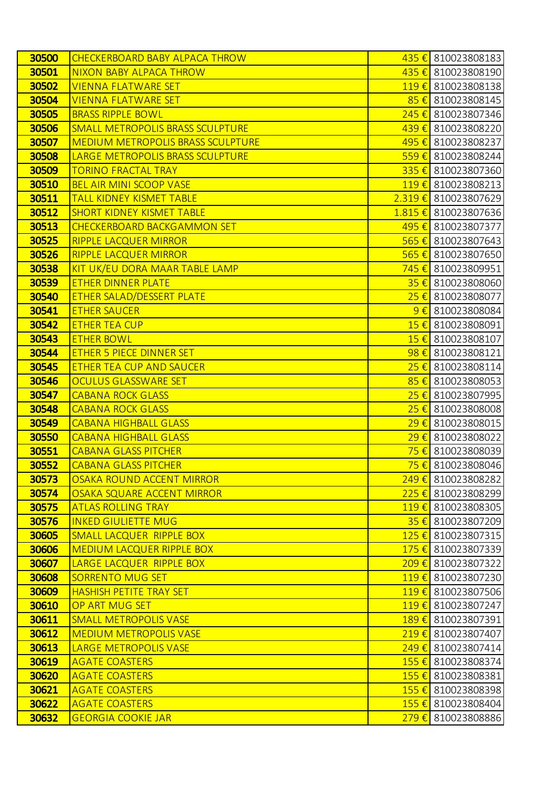| 30500          | <b>CHECKERBOARD BABY ALPACA THROW</b>                         |                   | 435 € 810023808183                       |
|----------------|---------------------------------------------------------------|-------------------|------------------------------------------|
| 30501          | <b>NIXON BABY ALPACA THROW</b>                                |                   | 435 € 810023808190                       |
| 30502          | <b>VIENNA FLATWARE SET</b>                                    | $119 \in$         | 810023808138                             |
| 30504          | <b>VIENNA FLATWARE SET</b>                                    |                   | 85 € 810023808145                        |
| 30505          | <b>BRASS RIPPLE BOWL</b>                                      | $245 \in$         | 810023807346                             |
| 30506          | <b>SMALL METROPOLIS BRASS SCULPTURE</b>                       |                   | 439 € 810023808220                       |
| 30507          | <b>MEDIUM METROPOLIS BRASS SCULPTURE</b>                      | 495 €             | 810023808237                             |
| 30508          | LARGE METROPOLIS BRASS SCULPTURE                              |                   | 559€ 810023808244                        |
| 30509          | <b>TORINO FRACTAL TRAY</b>                                    |                   | 335 € 810023807360                       |
| 30510          | <b>BEL AIR MINI SCOOP VASE</b>                                |                   | 119€ 810023808213                        |
| 30511          | <b>TALL KIDNEY KISMET TABLE</b>                               |                   | $2.319 \t\epsilon$ 810023807629          |
| 30512          | <b>SHORT KIDNEY KISMET TABLE</b>                              |                   | 1.815 € 810023807636                     |
| 30513          | <b>CHECKERBOARD BACKGAMMON SET</b>                            |                   | 495 € 810023807377                       |
| 30525          | <b>RIPPLE LACQUER MIRROR</b>                                  |                   | 565 € 810023807643                       |
| 30526          | <b>RIPPLE LACQUER MIRROR</b>                                  | 565 $\varepsilon$ | 810023807650                             |
| 30538          | KIT UK/EU DORA MAAR TABLE LAMP                                |                   | 745 € 810023809951                       |
| 30539          | <b>ETHER DINNER PLATE</b>                                     | $35 \in$          | 810023808060                             |
| 30540          | <b>ETHER SALAD/DESSERT PLATE</b>                              |                   | 25 € 810023808077                        |
| 30541          | <b>ETHER SAUCER</b>                                           | $9 \in I$         | 810023808084                             |
| 30542          | <b>ETHER TEA CUP</b>                                          |                   | $15 \in$ 810023808091                    |
| 30543          | <b>ETHER BOWL</b>                                             | $15 \in$          | 810023808107                             |
| 30544          | <b>ETHER 5 PIECE DINNER SET</b>                               |                   | $98 \in$ 810023808121                    |
| 30545          | <b>ETHER TEA CUP AND SAUCER</b>                               | $25 \in$          | 810023808114                             |
| 30546          | <b>OCULUS GLASSWARE SET</b>                                   |                   | 85 € 810023808053                        |
| 30547          | <b>CABANA ROCK GLASS</b>                                      | 25€               | 810023807995                             |
| 30548          | <b>CABANA ROCK GLASS</b>                                      |                   | 25 € 810023808008                        |
| 30549          | <b>CABANA HIGHBALL GLASS</b>                                  | 29€               | 810023808015                             |
| 30550          | <b>CABANA HIGHBALL GLASS</b>                                  |                   | 29 € 810023808022                        |
| 30551          | <b>CABANA GLASS PITCHER</b>                                   |                   | <mark>75 €</mark> 810023808039           |
| 30552          | <b>CABANA GLASS PITCHER</b>                                   |                   | <mark>75 €</mark> 810023808046           |
| 30573          | <b>OSAKA ROUND ACCENT MIRROR</b>                              |                   | 249 € 810023808282                       |
| 30574          | <b>OSAKA SQUARE ACCENT MIRROR</b>                             |                   | 225 € 810023808299                       |
| 30575          | <b>ATLAS ROLLING TRAY</b>                                     |                   | 119€ 810023808305                        |
| 30576          | <b>INKED GIULIETTE MUG</b>                                    |                   | 35 € 810023807209                        |
| 30605          | SMALL LACQUER RIPPLE BOX                                      |                   | 125 € 810023807315                       |
| 30606          | <b>MEDIUM LACQUER RIPPLE BOX</b>                              |                   | 175 € 810023807339                       |
| 30607          | LARGE LACQUER RIPPLE BOX                                      |                   | 209€ 810023807322                        |
| 30608          | <b>SORRENTO MUG SET</b>                                       |                   | 119€ 810023807230                        |
| 30609<br>30610 | <b>HASHISH PETITE TRAY SET</b><br>OP ART MUG SET              |                   | 119€ 810023807506<br>119€ 810023807247   |
| 30611          |                                                               | 189€              |                                          |
| 30612          | <b>SMALL METROPOLIS VASE</b><br><b>MEDIUM METROPOLIS VASE</b> |                   | 810023807391<br>$219 \t{5}$ 810023807407 |
| 30613          | <b>LARGE METROPOLIS VASE</b>                                  | $249 \in$         | 810023807414                             |
| 30619          | <b>AGATE COASTERS</b>                                         |                   | 155 € 810023808374                       |
| 30620          | <b>AGATE COASTERS</b>                                         | 155€              | 810023808381                             |
| 30621          | <b>AGATE COASTERS</b>                                         |                   | 155 € 810023808398                       |
| 30622          | <b>AGATE COASTERS</b>                                         | 155€              | 810023808404                             |
| 30632          | <b>GEORGIA COOKIE JAR</b>                                     |                   | 279 € 810023808886                       |
|                |                                                               |                   |                                          |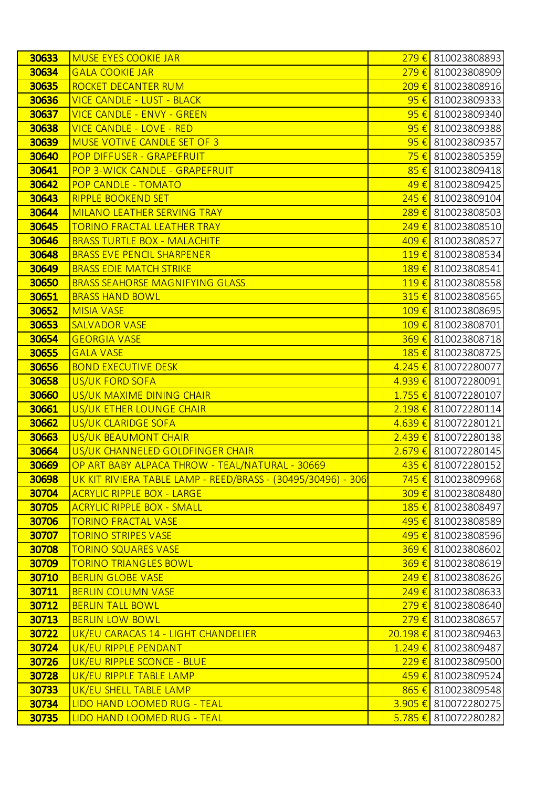| 30633 | <b>MUSE EYES COOKIE JAR</b>                                          |                    | 279 € 810023808893               |
|-------|----------------------------------------------------------------------|--------------------|----------------------------------|
| 30634 | <b>GALA COOKIE JAR</b>                                               |                    | 279 € 810023808909               |
| 30635 | ROCKET DECANTER RUM                                                  | $209 \text{ } \in$ | 810023808916                     |
| 30636 | <b>VICE CANDLE - LUST - BLACK</b>                                    |                    | $95 \in$ 810023809333            |
| 30637 | <b>VICE CANDLE - ENVY - GREEN</b>                                    | $95 \in$           | 810023809340                     |
| 30638 | <b>VICE CANDLE - LOVE - RED</b>                                      |                    | 95 € 810023809388                |
| 30639 | <b>MUSE VOTIVE CANDLE SET OF 3</b>                                   | $95 \in$           | 810023809357                     |
| 30640 | POP DIFFUSER - GRAPEFRUIT                                            |                    | <mark>75 €</mark> 810023805359   |
| 30641 | POP 3-WICK CANDLE - GRAPEFRUIT                                       | 85€                | 810023809418                     |
| 30642 | <b>POP CANDLE - TOMATO</b>                                           |                    | 49 € 810023809425                |
| 30643 | <b>RIPPLE BOOKEND SET</b>                                            | $245 \in$          | 810023809104                     |
| 30644 | MILANO LEATHER SERVING TRAY                                          |                    | 289€ 810023808503                |
| 30645 | <b>TORINO FRACTAL LEATHER TRAY</b>                                   | $249 \text{ } \in$ | 810023808510                     |
| 30646 | <b>BRASS TURTLE BOX - MALACHITE</b>                                  |                    | 409 € 810023808527               |
| 30648 | <b>BRASS EVE PENCIL SHARPENER</b>                                    | $119 \text{ } \in$ | 810023808534                     |
| 30649 | <b>BRASS EDIE MATCH STRIKE</b>                                       |                    | 189€ 810023808541                |
| 30650 | <b>BRASS SEAHORSE MAGNIFYING GLASS</b>                               |                    | 119€ 810023808558                |
| 30651 | <b>BRASS HAND BOWL</b>                                               |                    | 315 € 810023808565               |
| 30652 | <b>MISIA VASE</b>                                                    | $109 \in$          | 810023808695                     |
| 30653 | <b>SALVADOR VASE</b>                                                 |                    | 109 € 810023808701               |
| 30654 | <b>GEORGIA VASE</b>                                                  |                    | 369 € 810023808718               |
| 30655 | <b>GALA VASE</b>                                                     |                    | 185 € 810023808725               |
| 30656 | <b>BOND EXECUTIVE DESK</b>                                           |                    | 4.245 € 810072280077             |
| 30658 | US/UK FORD SOFA                                                      |                    | 4.939 € 810072280091             |
| 30660 | US/UK MAXIME DINING CHAIR                                            |                    | 1.755 € 810072280107             |
| 30661 | US/UK ETHER LOUNGE CHAIR                                             |                    | $2.198 \t\epsilon$ 810072280114  |
| 30662 | US/UK CLARIDGE SOFA                                                  |                    | $4.639 \t\epsilon$ 810072280121  |
| 30663 | US/UK BEAUMONT CHAIR                                                 |                    | $2.439 \t\epsilon$ 810072280138  |
| 30664 | US/UK CHANNELED GOLDFINGER CHAIR                                     |                    | $2.679 \in$ 810072280145         |
| 30669 | OP ART BABY ALPACA THROW - TEAL/NATURAL - 30669                      |                    | 435 € 810072280152               |
| 30698 | <u> UK KIT RIVIERA TABLE LAMP - REED/BRASS - (30495/30496) - 306</u> |                    | 745 € 810023809968               |
| 30704 | <b>ACRYLIC RIPPLE BOX - LARGE</b>                                    |                    | 309 € 810023808480               |
| 30705 | <b>ACRYLIC RIPPLE BOX - SMALL</b>                                    |                    | 185 € 810023808497               |
| 30706 | <b>TORINO FRACTAL VASE</b>                                           |                    | 495 € 810023808589               |
| 30707 | <b>TORINO STRIPES VASE</b>                                           |                    | 495 € 810023808596               |
| 30708 | <b>TORINO SQUARES VASE</b>                                           |                    | 369€ 810023808602                |
| 30709 | <b>TORINO TRIANGLES BOWL</b>                                         |                    | 369 € 810023808619               |
| 30710 | <b>BERLIN GLOBE VASE</b>                                             |                    | 249 € 810023808626               |
| 30711 | <b>BERLIN COLUMN VASE</b>                                            |                    | 249 € 810023808633               |
| 30712 | <b>BERLIN TALL BOWL</b>                                              |                    | 279 € 810023808640               |
| 30713 | <b>BERLIN LOW BOWL</b>                                               |                    | $279 \text{€}$ 810023808657      |
| 30722 | UK/EU CARACAS 14 - LIGHT CHANDELIER                                  |                    | $20.198 \t\epsilon$ 810023809463 |
| 30724 | UK/EU RIPPLE PENDANT                                                 |                    | $1.249 \t\epsilon$ 810023809487  |
| 30726 | UK/EU RIPPLE SCONCE - BLUE                                           |                    | 229 € 810023809500               |
| 30728 | UK/EU RIPPLE TABLE LAMP                                              |                    | 459 € 810023809524               |
| 30733 | UK/EU SHELL TABLE LAMP                                               |                    | 865€ 810023809548                |
| 30734 | LIDO HAND LOOMED RUG - TEAL                                          |                    | 3.905 € 810072280275             |
| 30735 | LIDO HAND LOOMED RUG - TEAL                                          |                    | $5.785 \in$ 810072280282         |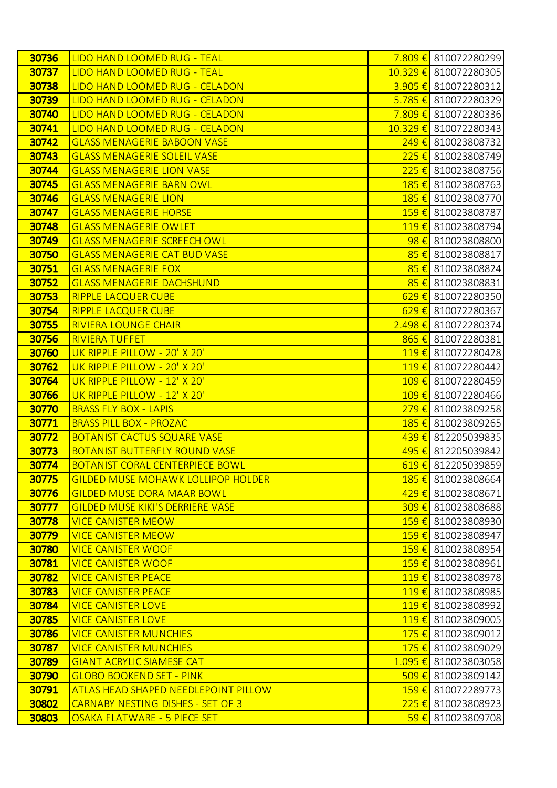| 30736 | LIDO HAND LOOMED RUG - TEAL                 |                    | 7.809 € 810072280299     |
|-------|---------------------------------------------|--------------------|--------------------------|
| 30737 | <b>LIDO HAND LOOMED RUG - TEAL</b>          |                    | 10.329 € 810072280305    |
| 30738 | LIDO HAND LOOMED RUG - CELADON              |                    | $3.905 \in$ 810072280312 |
| 30739 | LIDO HAND LOOMED RUG - CELADON              |                    | 5.785 € 810072280329     |
| 30740 | LIDO HAND LOOMED RUG - CELADON              | 7.809 €            | 810072280336             |
| 30741 | LIDO HAND LOOMED RUG - CELADON              |                    | 10.329 € 810072280343    |
| 30742 | <b>GLASS MENAGERIE BABOON VASE</b>          | $249 \in$          | 810023808732             |
| 30743 | <b>GLASS MENAGERIE SOLEIL VASE</b>          |                    | 225 € 810023808749       |
| 30744 | <b>GLASS MENAGERIE LION VASE</b>            | 225€               | 810023808756             |
| 30745 | <b>GLASS MENAGERIE BARN OWL</b>             |                    | 185 € 810023808763       |
| 30746 | <b>GLASS MENAGERIE LION</b>                 | 185€               | 810023808770             |
| 30747 | <b>GLASS MENAGERIE HORSE</b>                |                    | 159€ 810023808787        |
| 30748 | <b>GLASS MENAGERIE OWLET</b>                | $119 \t\t\epsilon$ | 810023808794             |
| 30749 | <b>GLASS MENAGERIE SCREECH OWL</b>          |                    | 98 € 810023808800        |
| 30750 | <b>GLASS MENAGERIE CAT BUD VASE</b>         | 85€                | 810023808817             |
| 30751 | <b>GLASS MENAGERIE FOX</b>                  | 85 $\epsilon$      | 810023808824             |
| 30752 | <b>GLASS MENAGERIE DACHSHUND</b>            | $85 \in$           | 810023808831             |
| 30753 | <b>RIPPLE LACQUER CUBE</b>                  |                    | 629 € 810072280350       |
| 30754 | <b>RIPPLE LACQUER CUBE</b>                  | $629 \in$          | 810072280367             |
| 30755 | <b>RIVIERA LOUNGE CHAIR</b>                 |                    | 2.498 € 810072280374     |
| 30756 | <b>RIVIERA TUFFET</b>                       | 865 $\epsilon$     | 810072280381             |
| 30760 | UK RIPPLE PILLOW - 20' X 20'                |                    | 119€ 810072280428        |
| 30762 | UK RIPPLE PILLOW - 20' X 20'                | $119 \t\t\epsilon$ | 810072280442             |
| 30764 | UK RIPPLE PILLOW - 12' X 20'                |                    | 109 € 810072280459       |
| 30766 | UK RIPPLE PILLOW - 12' X 20'                | $109 \text{ } \in$ | 810072280466             |
| 30770 | <b>BRASS FLY BOX - LAPIS</b>                |                    | 279 € 810023809258       |
| 30771 | <b>BRASS PILL BOX - PROZAC</b>              | 185€               | 810023809265             |
| 30772 | <b>BOTANIST CACTUS SQUARE VASE</b>          |                    | 439 € 812205039835       |
| 30773 | <b>BOTANIST BUTTERFLY ROUND VASE</b>        |                    | 495 € 812205039842       |
| 30774 | <b>BOTANIST CORAL CENTERPIECE BOWL</b>      |                    | $619 \in$ 812205039859   |
| 30775 | <b>GILDED MUSE MOHAWK LOLLIPOP HOLDER</b>   |                    | 185 € 810023808664       |
| 30776 | <b>GILDED MUSE DORA MAAR BOWL</b>           |                    | 429 € 810023808671       |
| 30777 | <b>GILDED MUSE KIKI'S DERRIERE VASE</b>     |                    | 309€ 810023808688        |
| 30778 | <b>VICE CANISTER MEOW</b>                   |                    | 159€ 810023808930        |
| 30779 | <b>VICE CANISTER MEOW</b>                   |                    | 159 € 810023808947       |
| 30780 | <b>VICE CANISTER WOOF</b>                   |                    | 159 € 810023808954       |
| 30781 | <b>VICE CANISTER WOOF</b>                   | $159 \text{ } \in$ | 810023808961             |
| 30782 | <b>VICE CANISTER PEACE</b>                  |                    | 119€ 810023808978        |
| 30783 | <b>VICE CANISTER PEACE</b>                  | $119 \t\t\epsilon$ | 810023808985             |
| 30784 | <b>VICE CANISTER LOVE</b>                   |                    | 119€ 810023808992        |
| 30785 | <b>VICE CANISTER LOVE</b>                   | $119 \t\t\epsilon$ | 810023809005             |
| 30786 | <b>VICE CANISTER MUNCHIES</b>               |                    | 175 € 810023809012       |
| 30787 | <b>VICE CANISTER MUNCHIES</b>               | $175 \in$          | 810023809029             |
| 30789 | <b>GIANT ACRYLIC SIAMESE CAT</b>            |                    | 1.095 € 810023803058     |
| 30790 | <b>GLOBO BOOKEND SET - PINK</b>             | $509 \text{ } \in$ | 810023809142             |
| 30791 | <b>ATLAS HEAD SHAPED NEEDLEPOINT PILLOW</b> |                    | 159€ 810072289773        |
| 30802 | <b>CARNABY NESTING DISHES - SET OF 3</b>    | $225 \in$          | 810023808923             |
| 30803 | OSAKA FLATWARE - 5 PIECE SET                | $59 \in$           | 810023809708             |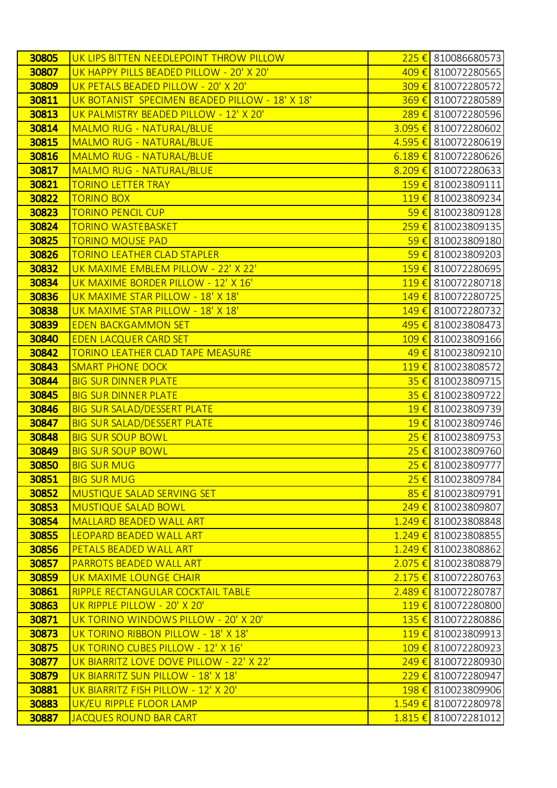| 30805 | UK LIPS BITTEN NEEDLEPOINT THROW PILLOW        |                    | 225 € 810086680573              |
|-------|------------------------------------------------|--------------------|---------------------------------|
| 30807 | UK HAPPY PILLS BEADED PILLOW - 20' X 20'       |                    | 409 € 810072280565              |
| 30809 | UK PETALS BEADED PILLOW - 20' X 20'            | $309 \text{ } \in$ | 810072280572                    |
| 30811 | UK BOTANIST SPECIMEN BEADED PILLOW - 18' X 18' |                    | 369 € 810072280589              |
| 30813 | UK PALMISTRY BEADED PILLOW - 12' X 20'         | 289€               | 810072280596                    |
| 30814 | <b>MALMO RUG - NATURAL/BLUE</b>                |                    | $3.095 \t\epsilon$ 810072280602 |
| 30815 | <b>MALMO RUG - NATURAL/BLUE</b>                | $4.595 \in$        | 810072280619                    |
| 30816 | MALMO RUG - NATURAL/BLUE                       |                    | $6.189 \in$ 810072280626        |
| 30817 | <b>MALMO RUG - NATURAL/BLUE</b>                | $8.209 \t∈$        | 810072280633                    |
| 30821 | <b>TORINO LETTER TRAY</b>                      |                    | 159 € 810023809111              |
| 30822 | <b>TORINO BOX</b>                              | $119 \t\t\epsilon$ | 810023809234                    |
| 30823 | <b>TORINO PENCIL CUP</b>                       |                    | 59 € 810023809128               |
| 30824 | <b>TORINO WASTEBASKET</b>                      | 259€               | 810023809135                    |
| 30825 | <b>TORINO MOUSE PAD</b>                        |                    | $59 \in$ 810023809180           |
| 30826 | <b>TORINO LEATHER CLAD STAPLER</b>             | 59€                | 810023809203                    |
| 30832 | UK MAXIME EMBLEM PILLOW - 22' X 22'            |                    | 159€ 810072280695               |
| 30834 | UK MAXIME BORDER PILLOW - 12' X 16'            | $119 \t\t\epsilon$ | 810072280718                    |
| 30836 | UK MAXIME STAR PILLOW - 18' X 18'              |                    | 149 € 810072280725              |
| 30838 | UK MAXIME STAR PILLOW - 18' X 18'              | 149€               | 810072280732                    |
| 30839 | <b>EDEN BACKGAMMON SET</b>                     |                    | 495 € 810023808473              |
| 30840 | <b>EDEN LACQUER CARD SET</b>                   | $109 \in$          | 810023809166                    |
| 30842 | <b>TORINO LEATHER CLAD TAPE MEASURE</b>        |                    | 49 € 810023809210               |
| 30843 | <b>SMART PHONE DOCK</b>                        | $119 \in$          | 810023808572                    |
| 30844 | <b>BIG SUR DINNER PLATE</b>                    |                    | 35 € 810023809715               |
| 30845 | <b>BIG SUR DINNER PLATE</b>                    | $35 \in$           | 810023809722                    |
| 30846 | <b>BIG SUR SALAD/DESSERT PLATE</b>             | $19 \in$           | 810023809739                    |
| 30847 | <b>BIG SUR SALAD/DESSERT PLATE</b>             | $19 \in$           | 810023809746                    |
| 30848 | <b>BIG SUR SOUP BOWL</b>                       |                    | 25 € 810023809753               |
| 30849 | <b>BIG SUR SOUP BOWL</b>                       | $25 \in$           | 810023809760                    |
| 30850 | <b>BIG SUR MUG</b>                             |                    | 25 € 810023809777               |
| 30851 | <b>BIG SUR MUG</b>                             |                    | 25 € 810023809784               |
| 30852 | <b>MUSTIQUE SALAD SERVING SET</b>              |                    | 85 € 810023809791               |
| 30853 | <b>MUSTIQUE SALAD BOWL</b>                     |                    | $249 \t\epsilon$ 810023809807   |
| 30854 | <b>MALLARD BEADED WALL ART</b>                 |                    | 1.249 € 810023808848            |
| 30855 | LEOPARD BEADED WALL ART                        |                    | $1.249 \t\epsilon$ 810023808855 |
| 30856 | <b>PETALS BEADED WALL ART</b>                  |                    | 1.249 € 810023808862            |
| 30857 | <b>PARROTS BEADED WALL ART</b>                 |                    | 2.075 € 810023808879            |
| 30859 | UK MAXIME LOUNGE CHAIR                         |                    | $2.175 \in$ 810072280763        |
| 30861 | RIPPLE RECTANGULAR COCKTAIL TABLE              | $2.489 \t∈$        | 810072280787                    |
| 30863 | UK RIPPLE PILLOW - 20' X 20'                   |                    | 119 € 810072280800              |
| 30871 | UK TORINO WINDOWS PILLOW - 20' X 20'           | $135 \in$          | 810072280886                    |
| 30873 | UK TORINO RIBBON PILLOW - 18' X 18'            |                    | 119€ 810023809913               |
| 30875 | UK TORINO CUBES PILLOW - 12' X 16'             | $109 \text{ } \in$ | 810072280923                    |
| 30877 | UK BIARRITZ LOVE DOVE PILLOW - 22' X 22'       |                    | 249 € 810072280930              |
| 30879 | UK BIARRITZ SUN PILLOW - 18' X 18'             | 229€               | 810072280947                    |
| 30881 | UK BIARRITZ FISH PILLOW - 12' X 20'            |                    | 198 € 810023809906              |
| 30883 | UK/EU RIPPLE FLOOR LAMP                        | $1.549 \t∈$        | 810072280978                    |
| 30887 | JACQUES ROUND BAR CART                         |                    | $1.815 \in$ 810072281012        |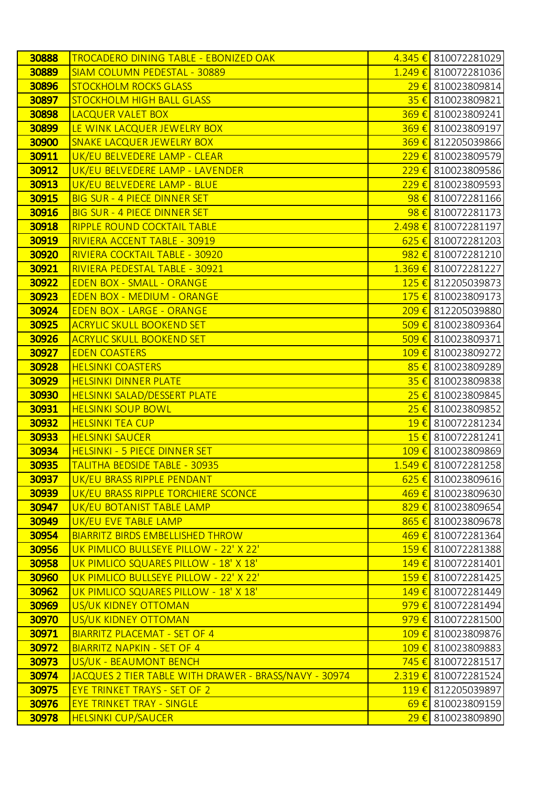| 30888 | <b>TROCADERO DINING TABLE - EBONIZED OAK</b>          |                             | 4.345 € 810072281029            |
|-------|-------------------------------------------------------|-----------------------------|---------------------------------|
| 30889 | <b>SIAM COLUMN PEDESTAL - 30889</b>                   |                             | 1.249 € 810072281036            |
| 30896 | <b>STOCKHOLM ROCKS GLASS</b>                          |                             | $29 \in$ 810023809814           |
| 30897 | <b>STOCKHOLM HIGH BALL GLASS</b>                      |                             | 35 € 810023809821               |
| 30898 | LACQUER VALET BOX                                     | $369 \in$                   | 810023809241                    |
| 30899 | LE WINK LACQUER JEWELRY BOX                           |                             | 369€ 810023809197               |
| 30900 | SNAKE LACQUER JEWELRY BOX                             | $369 \in$                   | 812205039866                    |
| 30911 | UK/EU BELVEDERE LAMP - CLEAR                          |                             | 229 € 810023809579              |
| 30912 | UK/EU BELVEDERE LAMP - LAVENDER                       | $229 \t\t\epsilon$          | 810023809586                    |
| 30913 | UK/EU BELVEDERE LAMP - BLUE                           |                             | 229 € 810023809593              |
| 30915 | <b>BIG SUR - 4 PIECE DINNER SET</b>                   | $98 \in$                    | 810072281166                    |
| 30916 | <b>BIG SUR - 4 PIECE DINNER SET</b>                   |                             | 98 € 810072281173               |
| 30918 | RIPPLE ROUND COCKTAIL TABLE                           |                             | 2.498 € 810072281197            |
| 30919 | RIVIERA ACCENT TABLE - 30919                          |                             | 625 € 810072281203              |
| 30920 | RIVIERA COCKTAIL TABLE - 30920                        |                             | $982 \text{€}$ 810072281210     |
| 30921 | RIVIERA PEDESTAL TABLE - 30921                        |                             | $1.369 \in$ 810072281227        |
| 30922 | <b>EDEN BOX - SMALL - ORANGE</b>                      |                             | 125 € 812205039873              |
| 30923 | <b>EDEN BOX - MEDIUM - ORANGE</b>                     |                             | 175 € 810023809173              |
| 30924 | <b>EDEN BOX - LARGE - ORANGE</b>                      | $209 \text{ } \in \text{ }$ | 812205039880                    |
| 30925 | <b>ACRYLIC SKULL BOOKEND SET</b>                      |                             | 509 € 810023809364              |
| 30926 | <b>ACRYLIC SKULL BOOKEND SET</b>                      | $509 \in$                   | 810023809371                    |
| 30927 | <b>EDEN COASTERS</b>                                  |                             | 109 € 810023809272              |
| 30928 | <b>HELSINKI COASTERS</b>                              | 85 $\epsilon$               | 810023809289                    |
| 30929 | <b>HELSINKI DINNER PLATE</b>                          |                             | 35 € 810023809838               |
| 30930 | <b>HELSINKI SALAD/DESSERT PLATE</b>                   | 25€                         | 810023809845                    |
| 30931 | <b>HELSINKI SOUP BOWL</b>                             |                             | 25 € 810023809852               |
| 30932 | <b>HELSINKI TEA CUP</b>                               | $19 \in$                    | 810072281234                    |
| 30933 | <b>HELSINKI SAUCER</b>                                |                             | $15 \in$ 810072281241           |
| 30934 | <b>HELSINKI - 5 PIECE DINNER SET</b>                  |                             | 109 € 810023809869              |
| 30935 | <u>TALITHA BEDSIDE TABLE - 30935</u>                  |                             | 1.549 € 810072281258            |
| 30937 | UK/EU BRASS RIPPLE PENDANT                            |                             | $625 \in$ 810023809616          |
| 30939 | UK/EU BRASS RIPPLE TORCHIERE SCONCE                   |                             | 469 € 810023809630              |
| 30947 | <b>UK/EU BOTANIST TABLE LAMP</b>                      |                             | 829 € 810023809654              |
| 30949 | UK/EU EVE TABLE LAMP                                  |                             | 865€ 810023809678               |
| 30954 | <b>BIARRITZ BIRDS EMBELLISHED THROW</b>               |                             | 469 € 810072281364              |
| 30956 | UK PIMLICO BULLSEYE PILLOW - 22' X 22'                |                             | 159€ 810072281388               |
| 30958 | UK PIMLICO SQUARES PILLOW - 18' X 18'                 |                             | 149 € 810072281401              |
| 30960 | UK PIMLICO BULLSEYE PILLOW - 22' X 22'                |                             | 159 € 810072281425              |
| 30962 | UK PIMLICO SQUARES PILLOW - 18' X 18'                 |                             | 149 € 810072281449              |
| 30969 | US/UK KIDNEY OTTOMAN                                  |                             | 979€ 810072281494               |
| 30970 | US/UK KIDNEY OTTOMAN                                  | $979 \in$                   | 810072281500                    |
| 30971 | <b>BIARRITZ PLACEMAT - SET OF 4</b>                   |                             | 109 € 810023809876              |
| 30972 | <b>BIARRITZ NAPKIN - SET OF 4</b>                     |                             | 109 € 810023809883              |
| 30973 | US/UK - BEAUMONT BENCH                                |                             | $\overline{745}$ € 810072281517 |
| 30974 | JACQUES 2 TIER TABLE WITH DRAWER - BRASS/NAVY - 30974 | 2.319€                      | 810072281524                    |
| 30975 | <b>EYE TRINKET TRAYS - SET OF 2</b>                   |                             | 119€ 812205039897               |
| 30976 | <b>EYE TRINKET TRAY - SINGLE</b>                      | $69 \in$                    | 810023809159                    |
| 30978 | <b>HELSINKI CUP/SAUCER</b>                            | 29€                         | 810023809890                    |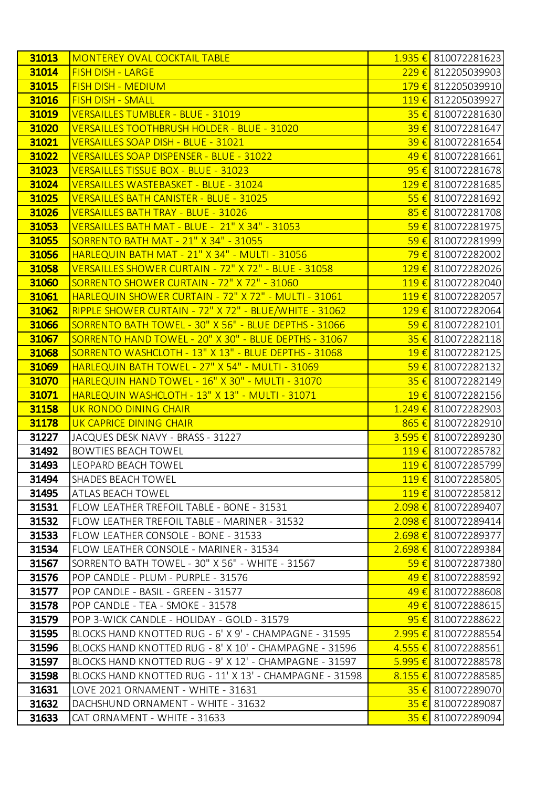| 31013 | <b>MONTEREY OVAL COCKTAIL TABLE</b>                     | $1.935 \in$ 810072281623                      |
|-------|---------------------------------------------------------|-----------------------------------------------|
| 31014 | <b>FISH DISH - LARGE</b>                                | 229 € 812205039903                            |
| 31015 | <b>FISH DISH - MEDIUM</b>                               | 179€ 812205039910                             |
| 31016 | <b>FISH DISH - SMALL</b>                                | 119€ 812205039927                             |
| 31019 | VERSAILLES TUMBLER - BLUE - 31019                       | $35 \in$ 810072281630                         |
| 31020 | VERSAILLES TOOTHBRUSH HOLDER - BLUE - 31020             | $39 \in$ 810072281647                         |
| 31021 | VERSAILLES SOAP DISH - BLUE - 31021                     | $39 \in$ 810072281654                         |
| 31022 | VERSAILLES SOAP DISPENSER - BLUE - 31022                | $49 \in$ 810072281661                         |
| 31023 | VERSAILLES TISSUE BOX - BLUE - 31023                    | $95 \in$ 810072281678                         |
| 31024 | VERSAILLES WASTEBASKET - BLUE - 31024                   | 129 € 810072281685                            |
| 31025 | VERSAILLES BATH CANISTER - BLUE - 31025                 | $55 \in$ 810072281692                         |
| 31026 | <b>VERSAILLES BATH TRAY - BLUE - 31026</b>              | 85 € 810072281708                             |
| 31053 | VERSAILLES BATH MAT - BLUE - 21" X 34" - 31053          | $\overline{59}$ € 810072281975                |
| 31055 | <b>SORRENTO BATH MAT - 21" X 34" - 31055</b>            | $59 \in$ 810072281999                         |
| 31056 | HARLEQUIN BATH MAT - 21" X 34" - MULTI - 31056          | $\overline{79}$ € 810072282002                |
| 31058 | VERSAILLES SHOWER CURTAIN - 72" X 72" - BLUE - 31058    | 129 € 810072282026                            |
| 31060 | SORRENTO SHOWER CURTAIN - 72" X 72" - 31060             | 119€ 810072282040                             |
| 31061 | HARLEQUIN SHOWER CURTAIN - 72" X 72" - MULTI - 31061    | 119€ 810072282057                             |
| 31062 | RIPPLE SHOWER CURTAIN - 72" X 72" - BLUE/WHITE - 31062  | $129 \t\epsilon$ 810072282064                 |
| 31066 | SORRENTO BATH TOWEL - 30" X 56" - BLUE DEPTHS - 31066   | $59 \in$ 810072282101                         |
| 31067 | SORRENTO HAND TOWEL - 20" X 30" - BLUE DEPTHS - 31067   | $35 \in$ 810072282118                         |
| 31068 | SORRENTO WASHCLOTH - 13" X 13" - BLUE DEPTHS - 31068    | 19 € 810072282125                             |
| 31069 | HARLEQUIN BATH TOWEL - 27" X 54" - MULTI - 31069        | $\overline{59}$ € 810072282132                |
| 31070 | HARLEQUIN HAND TOWEL - 16" X 30" - MULTI - 31070        | 35 € 810072282149                             |
| 31071 | HARLEQUIN WASHCLOTH - 13" X 13" - MULTI - 31071         | 19 € 810072282156                             |
| 31158 | UK RONDO DINING CHAIR                                   | 1.249 € 810072282903                          |
| 31178 | UK CAPRICE DINING CHAIR                                 | 865 € 810072282910                            |
| 31227 | JACQUES DESK NAVY - BRASS - 31227                       | 3.595 € 810072289230                          |
| 31492 | <b>BOWTIES BEACH TOWEL</b>                              | 119€ 810072285782                             |
| 31493 | <b>LEOPARD BEACH TOWEL</b>                              | 119€ 810072285799                             |
| 31494 | SHADES BEACH TOWEL                                      | 119€ 810072285805                             |
| 31495 | ATLAS BEACH TOWEL                                       | 119€ 810072285812                             |
| 31531 | FLOW LEATHER TREFOIL TABLE - BONE - 31531               | $2.098 \t\epsilon$ 810072289407               |
| 31532 | FLOW LEATHER TREFOIL TABLE - MARINER - 31532            | 2.098 € 810072289414                          |
| 31533 | FLOW LEATHER CONSOLE - BONE - 31533                     | 2.698 € 810072289377                          |
| 31534 | FLOW LEATHER CONSOLE - MARINER - 31534                  | 2.698 € 810072289384                          |
| 31567 | SORRENTO BATH TOWEL - 30" X 56" - WHITE - 31567         | $\frac{59 \text{ } \epsilon}{2}$ 810072287380 |
| 31576 | POP CANDLE - PLUM - PURPLE - 31576                      | 49 € 810072288592                             |
| 31577 | POP CANDLE - BASIL - GREEN - 31577                      | 49 € 810072288608                             |
| 31578 | POP CANDLE - TEA - SMOKE - 31578                        | $\frac{49 \text{ } \epsilon}{2}$ 810072288615 |
| 31579 | POP 3-WICK CANDLE - HOLIDAY - GOLD - 31579              | $\frac{95}{6}$ 810072288622                   |
| 31595 | BLOCKS HAND KNOTTED RUG - 6' X 9' - CHAMPAGNE - 31595   | $2.995 \t\epsilon$ 810072288554               |
| 31596 | BLOCKS HAND KNOTTED RUG - 8' X 10' - CHAMPAGNE - 31596  | 4.555 € 810072288561                          |
| 31597 | BLOCKS HAND KNOTTED RUG - 9' X 12' - CHAMPAGNE - 31597  | 5.995 € 810072288578                          |
| 31598 | BLOCKS HAND KNOTTED RUG - 11' X 13' - CHAMPAGNE - 31598 | $8.155 \in$ 810072288585                      |
| 31631 | LOVE 2021 ORNAMENT - WHITE - 31631                      | $35 \in$ 810072289070                         |
| 31632 | DACHSHUND ORNAMENT - WHITE - 31632                      | $35 \in$ 810072289087                         |
| 31633 | CAT ORNAMENT - WHITE - 31633                            | $35 \in$ 810072289094                         |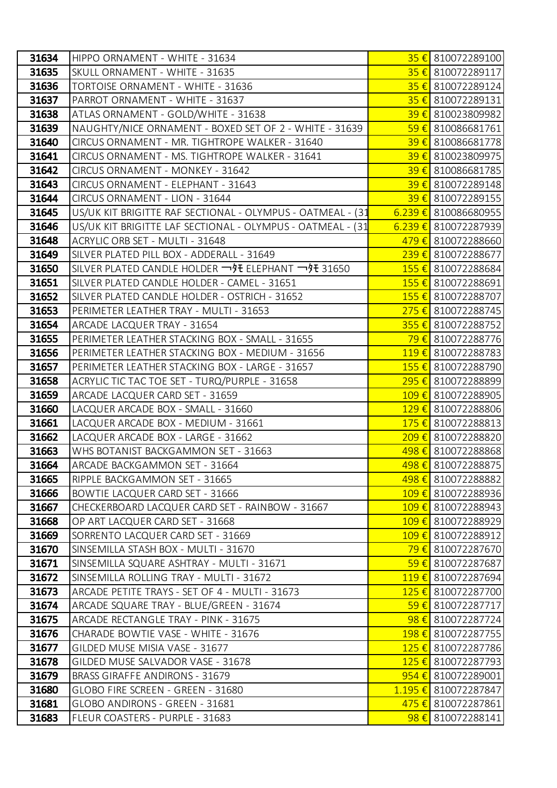| 31634 | HIPPO ORNAMENT - WHITE - 31634                             | 35 € 810072289100                              |
|-------|------------------------------------------------------------|------------------------------------------------|
| 31635 | SKULL ORNAMENT - WHITE - 31635                             | 35 € 810072289117                              |
| 31636 | <b>TORTOISE ORNAMENT - WHITE - 31636</b>                   | 35 € 810072289124                              |
| 31637 | PARROT ORNAMENT - WHITE - 31637                            | $35 \in$ 810072289131                          |
| 31638 | ATLAS ORNAMENT - GOLD/WHITE - 31638                        | 39 € 810023809982                              |
| 31639 | NAUGHTY/NICE ORNAMENT - BOXED SET OF 2 - WHITE - 31639     | $59 \in$ 810086681761                          |
| 31640 | CIRCUS ORNAMENT - MR. TIGHTROPE WALKER - 31640             | 39 € 810086681778                              |
| 31641 | CIRCUS ORNAMENT - MS. TIGHTROPE WALKER - 31641             | 39 € 810023809975                              |
| 31642 | CIRCUS ORNAMENT - MONKEY - 31642                           | $39 \t{6}$ 810086681785                        |
| 31643 | CIRCUS ORNAMENT - ELEPHANT - 31643                         | 39€ 810072289148                               |
| 31644 | CIRCUS ORNAMENT - LION - 31644                             | $39 \t\epsilon$ 810072289155                   |
| 31645 | US/UK KIT BRIGITTE RAF SECTIONAL - OLYMPUS - OATMEAL - (31 | $6.239 \t\epsilon$ 810086680955                |
| 31646 | US/UK KIT BRIGITTE LAF SECTIONAL - OLYMPUS - OATMEAL - (31 | $6.239 \t\epsilon$ 810072287939                |
| 31648 | ACRYLIC ORB SET - MULTI - 31648                            | 479 € 810072288660                             |
| 31649 | SILVER PLATED PILL BOX - ADDERALL - 31649                  | 239€ 810072288677                              |
| 31650 | SILVER PLATED CANDLE HOLDER ¬好 ELEPHANT ¬好 31650           | 155 € 810072288684                             |
| 31651 | SILVER PLATED CANDLE HOLDER - CAMEL - 31651                | $155 \t{€}$ 810072288691                       |
| 31652 | SILVER PLATED CANDLE HOLDER - OSTRICH - 31652              | 155 € 810072288707                             |
| 31653 | PERIMETER LEATHER TRAY - MULTI - 31653                     | $275 \t{6}$ 810072288745                       |
| 31654 | ARCADE LACQUER TRAY - 31654                                | $355 \in$ 810072288752                         |
| 31655 | PERIMETER LEATHER STACKING BOX - SMALL - 31655             | <mark>79 €</mark> 810072288776                 |
| 31656 | PERIMETER LEATHER STACKING BOX - MEDIUM - 31656            | $119 \t{6}$ 810072288783                       |
| 31657 | PERIMETER LEATHER STACKING BOX - LARGE - 31657             | 155 € 810072288790                             |
| 31658 | ACRYLIC TIC TAC TOE SET - TURQ/PURPLE - 31658              | 295 € 810072288899                             |
| 31659 | ARCADE LACQUER CARD SET - 31659                            | 109 € 810072288905                             |
| 31660 | LACQUER ARCADE BOX - SMALL - 31660                         | 129 € 810072288806                             |
| 31661 | LACQUER ARCADE BOX - MEDIUM - 31661                        | 175 € 810072288813                             |
| 31662 | LACQUER ARCADE BOX - LARGE - 31662                         | 209€ 810072288820                              |
| 31663 | WHS BOTANIST BACKGAMMON SET - 31663                        | 498 € 810072288868                             |
| 31664 | ARCADE BACKGAMMON SET - 31664                              | 498 € 810072288875                             |
| 31665 | RIPPLE BACKGAMMON SET - 31665                              | 498 € 810072288882                             |
| 31666 | BOWTIE LACQUER CARD SET - 31666                            | 109 € 810072288936                             |
| 31667 | CHECKERBOARD LACQUER CARD SET - RAINBOW - 31667            | 109 € 810072288943                             |
| 31668 | OP ART LACQUER CARD SET - 31668                            | 109 € 810072288929                             |
| 31669 | SORRENTO LACQUER CARD SET - 31669                          | 109€ 810072288912                              |
| 31670 | SINSEMILLA STASH BOX - MULTI - 31670                       | 79 € 810072287670                              |
| 31671 | SINSEMILLA SQUARE ASHTRAY - MULTI - 31671                  | $59 \in$ 810072287687                          |
| 31672 | SINSEMILLA ROLLING TRAY - MULTI - 31672                    | 119€ 810072287694                              |
| 31673 | ARCADE PETITE TRAYS - SET OF 4 - MULTI - 31673             | 125 € 810072287700                             |
| 31674 | ARCADE SQUARE TRAY - BLUE/GREEN - 31674                    | $\frac{59 \text{ } \epsilon}{2}$ 810072287717  |
| 31675 | ARCADE RECTANGLE TRAY - PINK - 31675                       | $98 \t\epsilon$ 810072287724                   |
| 31676 | CHARADE BOWTIE VASE - WHITE - 31676                        | 198 € 810072287755                             |
| 31677 | GILDED MUSE MISIA VASE - 31677                             | 125 € 810072287786                             |
| 31678 | GILDED MUSE SALVADOR VASE - 31678                          | 125 € 810072287793                             |
| 31679 | <b>BRASS GIRAFFE ANDIRONS - 31679</b>                      | 954 € 810072289001                             |
| 31680 | GLOBO FIRE SCREEN - GREEN - 31680                          | $1.195 \t\epsilon$ 810072287847                |
| 31681 | GLOBO ANDIRONS - GREEN - 31681                             | $\frac{475 \text{ } \epsilon}{2}$ 810072287861 |
| 31683 | FLEUR COASTERS - PURPLE - 31683                            | $98 \in$ 810072288141                          |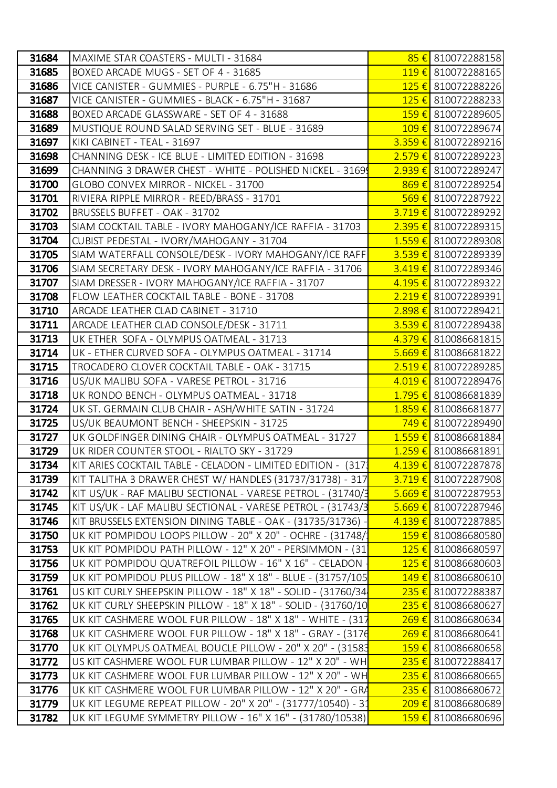| 31684 | MAXIME STAR COASTERS - MULTI - 31684                          | 85 € 810072288158               |
|-------|---------------------------------------------------------------|---------------------------------|
| 31685 | BOXED ARCADE MUGS - SET OF 4 - 31685                          | 119€ 810072288165               |
| 31686 | VICE CANISTER - GUMMIES - PURPLE - 6.75"H - 31686             | 125 € 810072288226              |
| 31687 | VICE CANISTER - GUMMIES - BLACK - 6.75"H - 31687              | 125 € 810072288233              |
| 31688 | BOXED ARCADE GLASSWARE - SET OF 4 - 31688                     | 159€ 810072289605               |
| 31689 | MUSTIQUE ROUND SALAD SERVING SET - BLUE - 31689               | 109€ 810072289674               |
| 31697 | KIKI CABINET - TEAL - 31697                                   | 3.359€ 810072289216             |
| 31698 | CHANNING DESK - ICE BLUE - LIMITED EDITION - 31698            | 2.579 € 810072289223            |
| 31699 | CHANNING 3 DRAWER CHEST - WHITE - POLISHED NICKEL - 3169      | 2.939 € 810072289247            |
| 31700 | GLOBO CONVEX MIRROR - NICKEL - 31700                          | 869€ 810072289254               |
| 31701 | RIVIERA RIPPLE MIRROR - REED/BRASS - 31701                    | 569€ 810072287922               |
| 31702 | BRUSSELS BUFFET - OAK - 31702                                 | $3.719 \t\epsilon$ 810072289292 |
| 31703 | SIAM COCKTAIL TABLE - IVORY MAHOGANY/ICE RAFFIA - 31703       | 2.395 € 810072289315            |
| 31704 | CUBIST PEDESTAL - IVORY/MAHOGANY - 31704                      | $1.559 \t\epsilon$ 810072289308 |
| 31705 | SIAM WATERFALL CONSOLE/DESK - IVORY MAHOGANY/ICE RAFF         | $3.539 \t\epsilon$ 810072289339 |
| 31706 | SIAM SECRETARY DESK - IVORY MAHOGANY/ICE RAFFIA - 31706       | 3.419 € 810072289346            |
| 31707 | SIAM DRESSER - IVORY MAHOGANY/ICE RAFFIA - 31707              | $4.195 \t\epsilon$ 810072289322 |
| 31708 | FLOW LEATHER COCKTAIL TABLE - BONE - 31708                    | 2.219€ 810072289391             |
| 31710 | ARCADE LEATHER CLAD CABINET - 31710                           | $2.898 \t\epsilon$ 810072289421 |
| 31711 | ARCADE LEATHER CLAD CONSOLE/DESK - 31711                      | 3.539 € 810072289438            |
| 31713 | UK ETHER SOFA - OLYMPUS OATMEAL - 31713                       | 4.379 € 810086681815            |
| 31714 | UK - ETHER CURVED SOFA - OLYMPUS OATMEAL - 31714              | $5.669 \t\epsilon$ 810086681822 |
| 31715 | TROCADERO CLOVER COCKTAIL TABLE - OAK - 31715                 | $2.519 \t\epsilon$ 810072289285 |
| 31716 | US/UK MALIBU SOFA - VARESE PETROL - 31716                     | 4.019 € 810072289476            |
| 31718 | UK RONDO BENCH - OLYMPUS OATMEAL - 31718                      | 1.795 € 810086681839            |
| 31724 | UK ST. GERMAIN CLUB CHAIR - ASH/WHITE SATIN - 31724           | 1.859€ 810086681877             |
| 31725 | US/UK BEAUMONT BENCH - SHEEPSKIN - 31725                      | 749€ 810072289490               |
| 31727 | UK GOLDFINGER DINING CHAIR - OLYMPUS OATMEAL - 31727          | 1.559€ 810086681884             |
| 31729 | UK RIDER COUNTER STOOL - RIALTO SKY - 31729                   | 1.259€ 810086681891             |
| 31734 | KIT ARIES COCKTAIL TABLE - CELADON - LIMITED EDITION - (317)  | 4.139 € 810072287878            |
| 31739 | KIT TALITHA 3 DRAWER CHEST W/ HANDLES (31737/31738) - 317     | 3.719 € 810072287908            |
| 31742 | KIT US/UK - RAF MALIBU SECTIONAL - VARESE PETROL - (31740/3   | 5.669 € 810072287953            |
| 31745 | KIT US/UK - LAF MALIBU SECTIONAL - VARESE PETROL - (31743/3   | $5.669 \t\epsilon$ 810072287946 |
| 31746 | KIT BRUSSELS EXTENSION DINING TABLE - OAK - (31735/31736)     | 4.139 € 810072287885            |
| 31750 | UK KIT POMPIDOU LOOPS PILLOW - 20" X 20" - OCHRE - (31748/    | 159€ 810086680580               |
| 31753 | UK KIT POMPIDOU PATH PILLOW - 12" X 20" - PERSIMMON - (31)    | 125 € 810086680597              |
| 31756 | UK KIT POMPIDOU QUATREFOIL PILLOW - 16" X 16" - CELADON       | 125 € 810086680603              |
| 31759 | UK KIT POMPIDOU PLUS PILLOW - 18" X 18" - BLUE - (31757/105   | 149 € 810086680610              |
| 31761 | US KIT CURLY SHEEPSKIN PILLOW - 18" X 18" - SOLID - (31760/34 | 235 € 810072288387              |
| 31762 | UK KIT CURLY SHEEPSKIN PILLOW - 18" X 18" - SOLID - (31760/10 | 235 € 810086680627              |
| 31765 | UK KIT CASHMERE WOOL FUR PILLOW - 18" X 18" - WHITE - (317    | 269 € 810086680634              |
| 31768 | UK KIT CASHMERE WOOL FUR PILLOW - 18" X 18" - GRAY - (3176    | 269 € 810086680641              |
| 31770 | UK KIT OLYMPUS OATMEAL BOUCLE PILLOW - 20" X 20" - (31583     | 159 € 810086680658              |
| 31772 | US KIT CASHMERE WOOL FUR LUMBAR PILLOW - 12" X 20" - WH       | $235 \t\epsilon$ 810072288417   |
| 31773 | UK KIT CASHMERE WOOL FUR LUMBAR PILLOW - 12" X 20" - WH       | 235 € 810086680665              |
| 31776 | UK KIT CASHMERE WOOL FUR LUMBAR PILLOW - 12" X 20" - GRA      | $235 \t{6}$ 810086680672        |
| 31779 | UK KIT LEGUME REPEAT PILLOW - 20" X 20" - (31777/10540) - 31  | 209€ 810086680689               |
| 31782 | UK KIT LEGUME SYMMETRY PILLOW - 16" X 16" - (31780/10538)     | 159€ 810086680696               |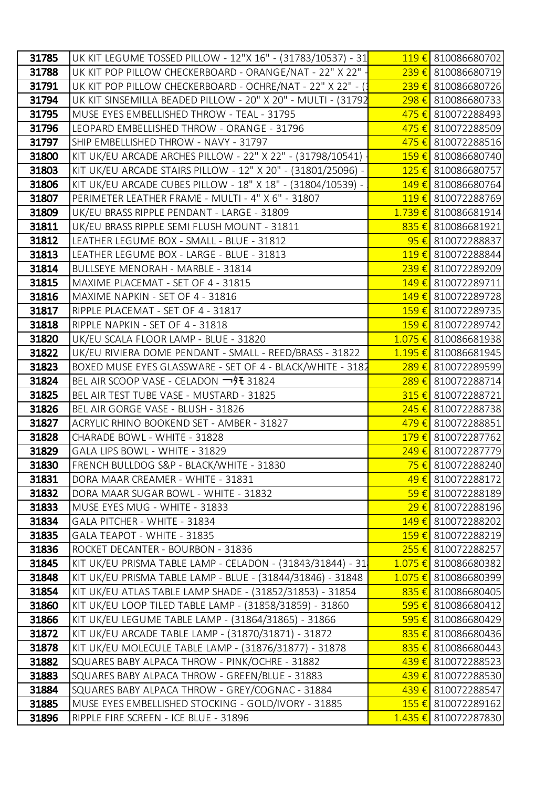| 31785 | UK KIT LEGUME TOSSED PILLOW - 12"X 16" - (31783/10537) - 31  | 119 € 810086680702            |
|-------|--------------------------------------------------------------|-------------------------------|
| 31788 | UK KIT POP PILLOW CHECKERBOARD - ORANGE/NAT - 22" X 22" -    | 239 € 810086680719            |
| 31791 | UK KIT POP PILLOW CHECKERBOARD - OCHRE/NAT - 22" X 22" - (3  | 239 € 810086680726            |
| 31794 | UK KIT SINSEMILLA BEADED PILLOW - 20" X 20" - MULTI - (31792 | 298 € 810086680733            |
| 31795 | MUSE EYES EMBELLISHED THROW - TEAL - 31795                   | 475 € 810072288493            |
| 31796 | LEOPARD EMBELLISHED THROW - ORANGE - 31796                   | 475 € 810072288509            |
| 31797 | SHIP EMBELLISHED THROW - NAVY - 31797                        | 475 € 810072288516            |
| 31800 | KIT UK/EU ARCADE ARCHES PILLOW - 22" X 22" - (31798/10541)   | 159€ 810086680740             |
| 31803 | KIT UK/EU ARCADE STAIRS PILLOW - 12" X 20" - (31801/25096) - | 125 € 810086680757            |
| 31806 | KIT UK/EU ARCADE CUBES PILLOW - 18" X 18" - (31804/10539) -  | 149€ 810086680764             |
| 31807 | PERIMETER LEATHER FRAME - MULTI - 4" X 6" - 31807            | 119€ 810072288769             |
| 31809 | UK/EU BRASS RIPPLE PENDANT - LARGE - 31809                   | 1.739 € 810086681914          |
| 31811 | UK/EU BRASS RIPPLE SEMI FLUSH MOUNT - 31811                  | $835 \text{€}$ 810086681921   |
| 31812 | LEATHER LEGUME BOX - SMALL - BLUE - 31812                    | $95 \in$ 810072288837         |
| 31813 | LEATHER LEGUME BOX - LARGE - BLUE - 31813                    | 119€ 810072288844             |
| 31814 | BULLSEYE MENORAH - MARBLE - 31814                            | 239 € 810072289209            |
| 31815 | MAXIME PLACEMAT - SET OF 4 - 31815                           | 149 € 810072289711            |
| 31816 | MAXIME NAPKIN - SET OF 4 - 31816                             | 149€ 810072289728             |
| 31817 | RIPPLE PLACEMAT - SET OF 4 - 31817                           | 159 € 810072289735            |
| 31818 | RIPPLE NAPKIN - SET OF 4 - 31818                             | 159€ 810072289742             |
| 31820 | UK/EU SCALA FLOOR LAMP - BLUE - 31820                        | 1.075 € 810086681938          |
| 31822 | UK/EU RIVIERA DOME PENDANT - SMALL - REED/BRASS - 31822      | 1.195 € 810086681945          |
| 31823 | BOXED MUSE EYES GLASSWARE - SET OF 4 - BLACK/WHITE - 3182    | 289 € 810072289599            |
| 31824 | BEL AIR SCOOP VASE - CELADON 一9 ± 31824                      | 289 € 810072288714            |
| 31825 | BEL AIR TEST TUBE VASE - MUSTARD - 31825                     | $315 \t{6}$ 810072288721      |
| 31826 | BEL AIR GORGE VASE - BLUSH - 31826                           | 245 € 810072288738            |
| 31827 | ACRYLIC RHINO BOOKEND SET - AMBER - 31827                    | 479 € 810072288851            |
| 31828 | CHARADE BOWL - WHITE - 31828                                 | 179 € 810072287762            |
| 31829 | GALA LIPS BOWL - WHITE - 31829                               | 249 € 810072287779            |
| 31830 | FRENCH BULLDOG S&P - BLACK/WHITE - 31830                     | 75 € 810072288240             |
| 31831 | DORA MAAR CREAMER - WHITE - 31831                            | 49 € 810072288172             |
| 31832 | DORA MAAR SUGAR BOWL - WHITE - 31832                         | 59€ 810072288189              |
| 31833 | MUSE EYES MUG - WHITE - 31833                                | 29 € 810072288196             |
| 31834 | GALA PITCHER - WHITE - 31834                                 | 149€ 810072288202             |
| 31835 | GALA TEAPOT - WHITE - 31835                                  | 159€ 810072288219             |
| 31836 | ROCKET DECANTER - BOURBON - 31836                            | $255 \t{€}$ 810072288257      |
| 31845 | KIT UK/EU PRISMA TABLE LAMP - CELADON - (31843/31844) - 31   | 1.075 € 810086680382          |
| 31848 | KIT UK/EU PRISMA TABLE LAMP - BLUE - (31844/31846) - 31848   | 1.075 € 810086680399          |
| 31854 | KIT UK/EU ATLAS TABLE LAMP SHADE - (31852/31853) - 31854     | 835 € 810086680405            |
| 31860 | KIT UK/EU LOOP TILED TABLE LAMP - (31858/31859) - 31860      | $595 \t\epsilon$ 810086680412 |
| 31866 | KIT UK/EU LEGUME TABLE LAMP - (31864/31865) - 31866          | $595 \t\epsilon$ 810086680429 |
| 31872 | KIT UK/EU ARCADE TABLE LAMP - (31870/31871) - 31872          | 835 € 810086680436            |
| 31878 | KIT UK/EU MOLECULE TABLE LAMP - (31876/31877) - 31878        | $835 \t\epsilon$ 810086680443 |
| 31882 | SQUARES BABY ALPACA THROW - PINK/OCHRE - 31882               | 439€ 810072288523             |
| 31883 | SQUARES BABY ALPACA THROW - GREEN/BLUE - 31883               | 439 € 810072288530            |
| 31884 | SQUARES BABY ALPACA THROW - GREY/COGNAC - 31884              | 439 € 810072288547            |
| 31885 | MUSE EYES EMBELLISHED STOCKING - GOLD/IVORY - 31885          | 155 € 810072289162            |
| 31896 | RIPPLE FIRE SCREEN - ICE BLUE - 31896                        | 1.435 € 810072287830          |